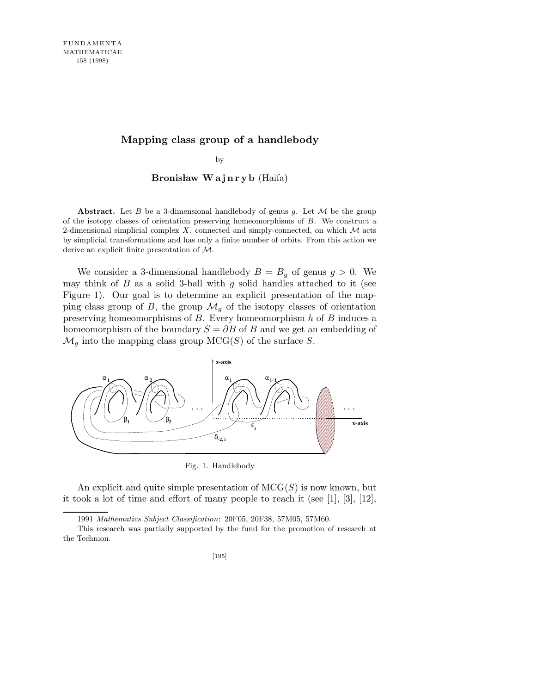## **Mapping class group of a handlebody**

by

Bronisław Wajnryb (Haifa)

**Abstract.** Let *B* be a 3-dimensional handlebody of genus *g*. Let *M* be the group of the isotopy classes of orientation preserving homeomorphisms of *B*. We construct a 2-dimensional simplicial complex  $X$ , connected and simply-connected, on which  $M$  acts by simplicial transformations and has only a finite number of orbits. From this action we derive an explicit finite presentation of *M*.

We consider a 3-dimensional handlebody  $B = B<sub>g</sub>$  of genus  $g > 0$ . We may think of  $B$  as a solid 3-ball with  $g$  solid handles attached to it (see Figure 1). Our goal is to determine an explicit presentation of the mapping class group of B, the group  $\mathcal{M}_q$  of the isotopy classes of orientation preserving homeomorphisms of  $B$ . Every homeomorphism  $h$  of  $B$  induces a homeomorphism of the boundary  $S = \partial B$  of B and we get an embedding of  $\mathcal{M}_g$  into the mapping class group MCG(S) of the surface S.



Fig. 1. Handlebody

An explicit and quite simple presentation of  $MCG(S)$  is now known, but it took a lot of time and effort of many people to reach it (see [1], [3], [12],

<sup>1991</sup> *Mathematics Subject Classification*: 20F05, 20F38, 57M05, 57M60.

This research was partially supported by the fund for the promotion of research at the Technion.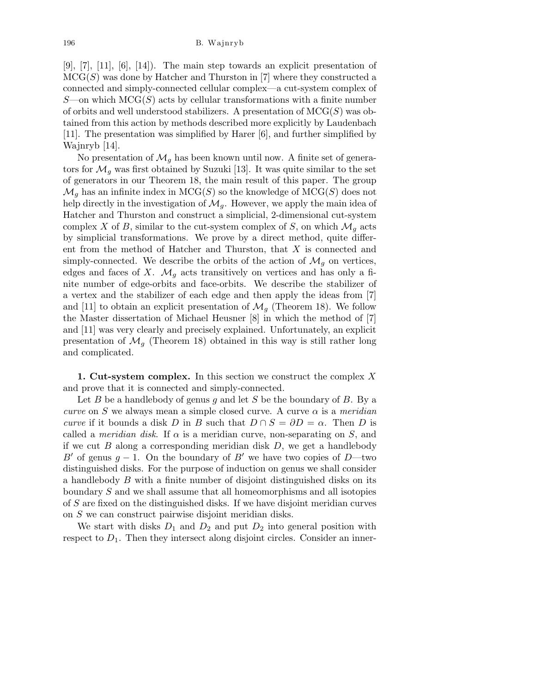$[9], [7], [11], [6], [14]$ . The main step towards an explicit presentation of  $MCG(S)$  was done by Hatcher and Thurston in [7] where they constructed a connected and simply-connected cellular complex—a cut-system complex of  $S$ —on which MCG(S) acts by cellular transformations with a finite number of orbits and well understood stabilizers. A presentation of  $MCG(S)$  was obtained from this action by methods described more explicitly by Laudenbach [11]. The presentation was simplified by Harer [6], and further simplified by Wajnryb [14].

No presentation of  $\mathcal{M}_q$  has been known until now. A finite set of generators for  $\mathcal{M}_q$  was first obtained by Suzuki [13]. It was quite similar to the set of generators in our Theorem 18, the main result of this paper. The group  $\mathcal{M}_q$  has an infinite index in  $MCG(S)$  so the knowledge of  $MCG(S)$  does not help directly in the investigation of  $\mathcal{M}_g$ . However, we apply the main idea of Hatcher and Thurston and construct a simplicial, 2-dimensional cut-system complex X of B, similar to the cut-system complex of S, on which  $\mathcal{M}_q$  acts by simplicial transformations. We prove by a direct method, quite different from the method of Hatcher and Thurston, that X is connected and simply-connected. We describe the orbits of the action of  $\mathcal{M}_q$  on vertices, edges and faces of X.  $\mathcal{M}_g$  acts transitively on vertices and has only a finite number of edge-orbits and face-orbits. We describe the stabilizer of a vertex and the stabilizer of each edge and then apply the ideas from [7] and [11] to obtain an explicit presentation of  $\mathcal{M}_g$  (Theorem 18). We follow the Master dissertation of Michael Heusner [8] in which the method of [7] and [11] was very clearly and precisely explained. Unfortunately, an explicit presentation of  $\mathcal{M}_q$  (Theorem 18) obtained in this way is still rather long and complicated.

1. Cut-system complex. In this section we construct the complex  $X$ and prove that it is connected and simply-connected.

Let  $B$  be a handlebody of genus  $g$  and let  $S$  be the boundary of  $B$ . By a curve on S we always mean a simple closed curve. A curve  $\alpha$  is a meridian curve if it bounds a disk D in B such that  $D \cap S = \partial D = \alpha$ . Then D is called a *meridian disk*. If  $\alpha$  is a meridian curve, non-separating on S, and if we cut  $B$  along a corresponding meridian disk  $D$ , we get a handlebody B' of genus  $g - 1$ . On the boundary of B' we have two copies of D—two distinguished disks. For the purpose of induction on genus we shall consider a handlebody B with a finite number of disjoint distinguished disks on its boundary S and we shall assume that all homeomorphisms and all isotopies of S are fixed on the distinguished disks. If we have disjoint meridian curves on S we can construct pairwise disjoint meridian disks.

We start with disks  $D_1$  and  $D_2$  and put  $D_2$  into general position with respect to  $D_1$ . Then they intersect along disjoint circles. Consider an inner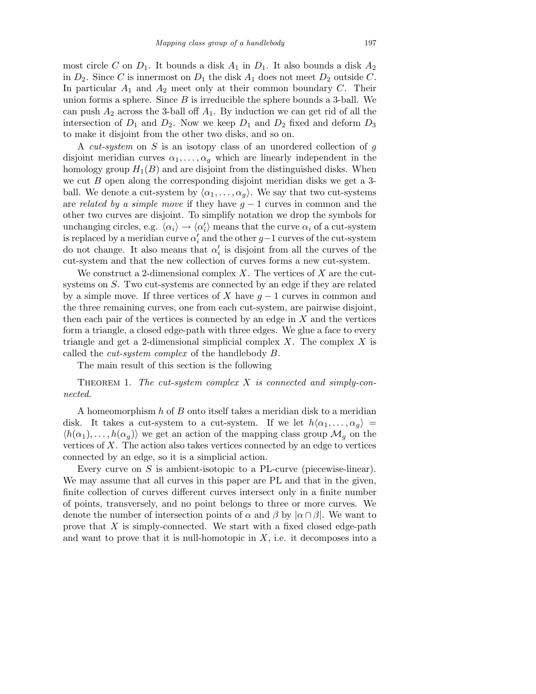most circle C on  $D_1$ . It bounds a disk  $A_1$  in  $D_1$ . It also bounds a disk  $A_2$ in  $D_2$ . Since C is innermost on  $D_1$  the disk  $A_1$  does not meet  $D_2$  outside C. In particular  $A_1$  and  $A_2$  meet only at their common boundary C. Their union forms a sphere. Since  $B$  is irreducible the sphere bounds a 3-ball. We can push  $A_2$  across the 3-ball off  $A_1$ . By induction we can get rid of all the intersection of  $D_1$  and  $D_2$ . Now we keep  $D_1$  and  $D_2$  fixed and deform  $D_3$ to make it disjoint from the other two disks, and so on.

A cut-system on S is an isotopy class of an unordered collection of g disjoint meridian curves  $\alpha_1, \ldots, \alpha_q$  which are linearly independent in the homology group  $H_1(B)$  and are disjoint from the distinguished disks. When we cut  $B$  open along the corresponding disjoint meridian disks we get a 3ball. We denote a cut-system by  $\langle \alpha_1, \ldots, \alpha_q \rangle$ . We say that two cut-systems are related by a simple move if they have  $g-1$  curves in common and the other two curves are disjoint. To simplify notation we drop the symbols for unchanging circles, e.g.  $\langle \alpha_i \rangle \rightarrow \langle \alpha_i' \rangle$  means that the curve  $\alpha_i$  of a cut-system is replaced by a meridian curve  $\alpha'_i$  and the other  $g-1$  curves of the cut-system do not change. It also means that  $\alpha'_i$  is disjoint from all the curves of the cut-system and that the new collection of curves forms a new cut-system.

We construct a 2-dimensional complex X. The vertices of X are the cutsystems on S. Two cut-systems are connected by an edge if they are related by a simple move. If three vertices of X have  $g - 1$  curves in common and the three remaining curves, one from each cut-system, are pairwise disjoint, then each pair of the vertices is connected by an edge in  $X$  and the vertices form a triangle, a closed edge-path with three edges. We glue a face to every triangle and get a 2-dimensional simplicial complex  $X$ . The complex  $X$  is called the cut-system complex of the handlebody B.

The main result of this section is the following

THEOREM 1. The cut-system complex  $X$  is connected and simply-connected.

A homeomorphism h of B onto itself takes a meridian disk to a meridian disk. It takes a cut-system to a cut-system. If we let  $h\langle \alpha_1, \ldots, \alpha_q \rangle =$  $\langle h(\alpha_1), \ldots, h(\alpha_q) \rangle$  we get an action of the mapping class group  $\mathcal{M}_q$  on the vertices of X. The action also takes vertices connected by an edge to vertices connected by an edge, so it is a simplicial action.

Every curve on  $S$  is ambient-isotopic to a PL-curve (piecewise-linear). We may assume that all curves in this paper are PL and that in the given, finite collection of curves different curves intersect only in a finite number of points, transversely, and no point belongs to three or more curves. We denote the number of intersection points of  $\alpha$  and  $\beta$  by  $|\alpha \cap \beta|$ . We want to prove that  $X$  is simply-connected. We start with a fixed closed edge-path and want to prove that it is null-homotopic in  $X$ , i.e. it decomposes into a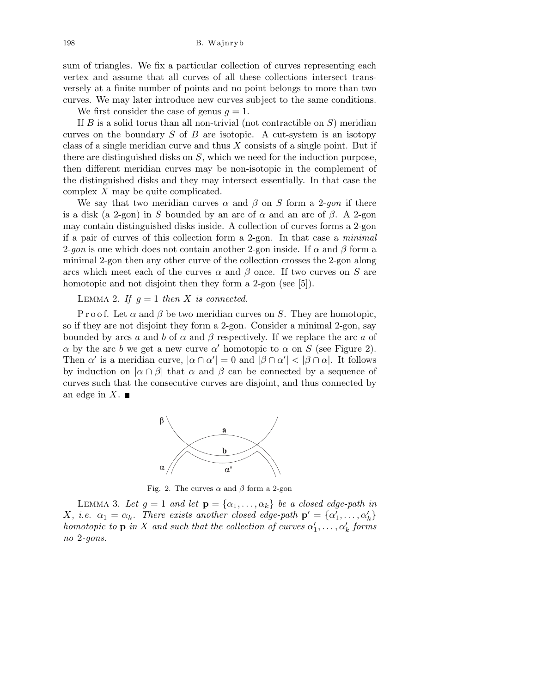sum of triangles. We fix a particular collection of curves representing each vertex and assume that all curves of all these collections intersect transversely at a finite number of points and no point belongs to more than two curves. We may later introduce new curves subject to the same conditions.

We first consider the case of genus  $q = 1$ .

If  $B$  is a solid torus than all non-trivial (not contractible on  $S$ ) meridian curves on the boundary  $S$  of  $B$  are isotopic. A cut-system is an isotopy class of a single meridian curve and thus  $X$  consists of a single point. But if there are distinguished disks on S, which we need for the induction purpose, then different meridian curves may be non-isotopic in the complement of the distinguished disks and they may intersect essentially. In that case the complex X may be quite complicated.

We say that two meridian curves  $\alpha$  and  $\beta$  on S form a 2-qon if there is a disk (a 2-gon) in S bounded by an arc of  $\alpha$  and an arc of  $\beta$ . A 2-gon may contain distinguished disks inside. A collection of curves forms a 2-gon if a pair of curves of this collection form a 2-gon. In that case a minimal 2-gon is one which does not contain another 2-gon inside. If  $\alpha$  and  $\beta$  form a minimal 2-gon then any other curve of the collection crosses the 2-gon along arcs which meet each of the curves  $\alpha$  and  $\beta$  once. If two curves on S are homotopic and not disjoint then they form a 2-gon (see [5]).

LEMMA 2. If  $g = 1$  then X is connected.

P r o o f. Let  $\alpha$  and  $\beta$  be two meridian curves on S. They are homotopic, so if they are not disjoint they form a 2-gon. Consider a minimal 2-gon, say bounded by arcs a and b of  $\alpha$  and  $\beta$  respectively. If we replace the arc a of  $\alpha$  by the arc b we get a new curve  $\alpha'$  homotopic to  $\alpha$  on S (see Figure 2). Then  $\alpha'$  is a meridian curve,  $|\alpha \cap \alpha'| = 0$  and  $|\beta \cap \alpha'| < |\beta \cap \alpha|$ . It follows by induction on  $|\alpha \cap \beta|$  that  $\alpha$  and  $\beta$  can be connected by a sequence of curves such that the consecutive curves are disjoint, and thus connected by an edge in X.  $\blacksquare$ 



Fig. 2. The curves  $\alpha$  and  $\beta$  form a 2-gon

LEMMA 3. Let  $g = 1$  and let  $\mathbf{p} = {\alpha_1, \ldots, \alpha_k}$  be a closed edge-path in X, i.e.  $\alpha_1 = \alpha_k$ . There exists another closed edge-path  $\mathbf{p}' = {\alpha'_1, \dots, \alpha'_k}$ homotopic to  $\mathbf p$  in X and such that the collection of curves  $\alpha_1',\ldots,\alpha_k'$  forms no 2-gons.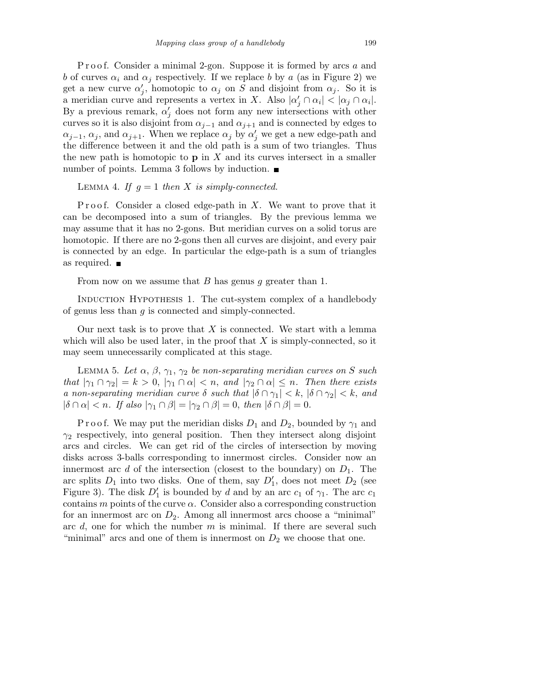P r o o f. Consider a minimal 2-gon. Suppose it is formed by arcs a and b of curves  $\alpha_i$  and  $\alpha_j$  respectively. If we replace b by a (as in Figure 2) we get a new curve  $\alpha'_j$ , homotopic to  $\alpha_j$  on S and disjoint from  $\alpha_j$ . So it is a meridian curve and represents a vertex in X. Also  $|\alpha'_j \cap \alpha_i| < |\alpha_j \cap \alpha_i|$ . By a previous remark,  $\alpha'_{j}$  does not form any new intersections with other curves so it is also disjoint from  $\alpha_{j-1}$  and  $\alpha_{j+1}$  and is connected by edges to  $\alpha_{j-1}, \alpha_j$ , and  $\alpha_{j+1}$ . When we replace  $\alpha_j$  by  $\alpha'_j$  we get a new edge-path and the difference between it and the old path is a sum of two triangles. Thus the new path is homotopic to  $\bf{p}$  in X and its curves intersect in a smaller number of points. Lemma 3 follows by induction. ■

## LEMMA 4. If  $q = 1$  then X is simply-connected.

Proof. Consider a closed edge-path in  $X$ . We want to prove that it can be decomposed into a sum of triangles. By the previous lemma we may assume that it has no 2-gons. But meridian curves on a solid torus are homotopic. If there are no 2-gons then all curves are disjoint, and every pair is connected by an edge. In particular the edge-path is a sum of triangles as required.

From now on we assume that B has genus q greater than 1.

Induction Hypothesis 1. The cut-system complex of a handlebody of genus less than g is connected and simply-connected.

Our next task is to prove that  $X$  is connected. We start with a lemma which will also be used later, in the proof that  $X$  is simply-connected, so it may seem unnecessarily complicated at this stage.

LEMMA 5. Let  $\alpha$ ,  $\beta$ ,  $\gamma_1$ ,  $\gamma_2$  be non-separating meridian curves on S such that  $|\gamma_1 \cap \gamma_2| = k > 0$ ,  $|\gamma_1 \cap \alpha| < n$ , and  $|\gamma_2 \cap \alpha| \leq n$ . Then there exists a non-separating meridian curve  $\delta$  such that  $|\delta \cap \gamma_1| < k$ ,  $|\delta \cap \gamma_2| < k$ , and  $|\delta \cap \alpha| < n$ . If also  $|\gamma_1 \cap \beta| = |\gamma_2 \cap \beta| = 0$ , then  $|\delta \cap \beta| = 0$ .

P r o o f. We may put the meridian disks  $D_1$  and  $D_2$ , bounded by  $\gamma_1$  and  $\gamma_2$  respectively, into general position. Then they intersect along disjoint arcs and circles. We can get rid of the circles of intersection by moving disks across 3-balls corresponding to innermost circles. Consider now an innermost arc d of the intersection (closest to the boundary) on  $D_1$ . The arc splits  $D_1$  into two disks. One of them, say  $D'_1$ , does not meet  $D_2$  (see Figure 3). The disk  $D'_1$  is bounded by d and by an arc  $c_1$  of  $\gamma_1$ . The arc  $c_1$ contains  $m$  points of the curve  $\alpha$ . Consider also a corresponding construction for an innermost arc on  $D_2$ . Among all innermost arcs choose a "minimal" arc  $d$ , one for which the number  $m$  is minimal. If there are several such "minimal" arcs and one of them is innermost on  $D_2$  we choose that one.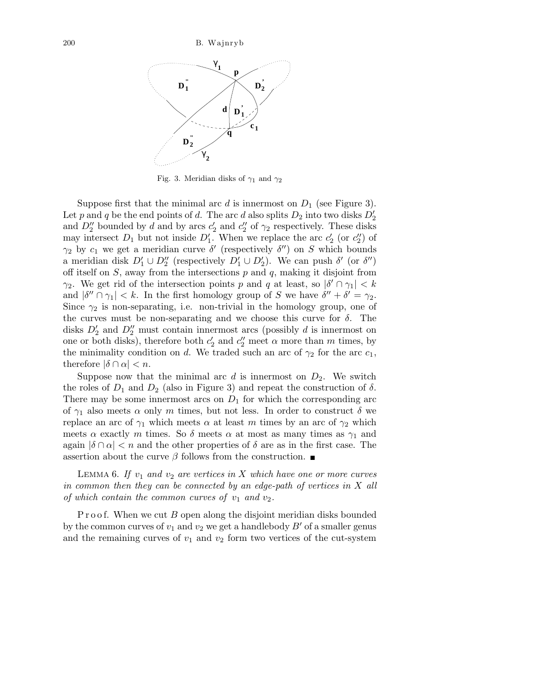

Fig. 3. Meridian disks of *γ*<sup>1</sup> and *γ*<sup>2</sup>

Suppose first that the minimal arc d is innermost on  $D_1$  (see Figure 3). Let p and q be the end points of d. The arc d also splits  $D_2$  into two disks  $D_2'$ and  $D_2''$  bounded by d and by arcs  $c_2'$  and  $c_2''$  of  $\gamma_2$  respectively. These disks may intersect  $D_1$  but not inside  $D'_1$ . When we replace the arc  $c'_2$  (or  $c''_2$ ) of  $\gamma_2$  by  $c_1$  we get a meridian curve  $\delta'$  (respectively  $\delta'$ ) on S which bounds a meridian disk  $D'_1 \cup D''_2$  (respectively  $D'_1 \cup D'_2$ ). We can push  $\delta'$  (or  $\delta''$ ) off itself on  $S$ , away from the intersections  $p$  and  $q$ , making it disjoint from  $\gamma_2$ . We get rid of the intersection points p and q at least, so  $|\delta' \cap \gamma_1| < k$ and  $|\delta'' \cap \gamma_1| < k$ . In the first homology group of S we have  $\delta'' + \delta' = \gamma_2$ . Since  $\gamma_2$  is non-separating, i.e. non-trivial in the homology group, one of the curves must be non-separating and we choose this curve for  $\delta$ . The disks  $D'_2$  and  $D''_2$  must contain innermost arcs (possibly d is innermost on one or both disks), therefore both  $c'_2$  and  $c''_2$  meet  $\alpha$  more than  $m$  times, by the minimality condition on d. We traded such an arc of  $\gamma_2$  for the arc  $c_1$ , therefore  $|\delta \cap \alpha| < n$ .

Suppose now that the minimal arc  $d$  is innermost on  $D_2$ . We switch the roles of  $D_1$  and  $D_2$  (also in Figure 3) and repeat the construction of  $\delta$ . There may be some innermost arcs on  $D_1$  for which the corresponding arc of  $\gamma_1$  also meets  $\alpha$  only m times, but not less. In order to construct  $\delta$  we replace an arc of  $\gamma_1$  which meets  $\alpha$  at least m times by an arc of  $\gamma_2$  which meets  $\alpha$  exactly m times. So  $\delta$  meets  $\alpha$  at most as many times as  $\gamma_1$  and again  $|\delta \cap \alpha| < n$  and the other properties of  $\delta$  are as in the first case. The assertion about the curve  $\beta$  follows from the construction.

LEMMA 6. If  $v_1$  and  $v_2$  are vertices in X which have one or more curves in common then they can be connected by an edge-path of vertices in X all of which contain the common curves of  $v_1$  and  $v_2$ .

P r o o f. When we cut  $B$  open along the disjoint meridian disks bounded by the common curves of  $v_1$  and  $v_2$  we get a handlebody  $B'$  of a smaller genus and the remaining curves of  $v_1$  and  $v_2$  form two vertices of the cut-system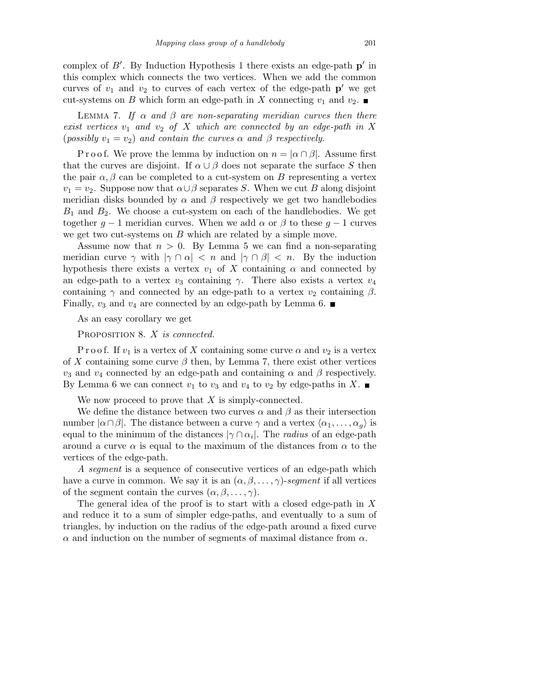complex of  $B'$ . By Induction Hypothesis 1 there exists an edge-path  $p'$  in this complex which connects the two vertices. When we add the common curves of  $v_1$  and  $v_2$  to curves of each vertex of the edge-path  $p'$  we get cut-systems on B which form an edge-path in X connecting  $v_1$  and  $v_2$ .

LEMMA 7. If  $\alpha$  and  $\beta$  are non-separating meridian curves then there exist vertices  $v_1$  and  $v_2$  of X which are connected by an edge-path in X (possibly  $v_1 = v_2$ ) and contain the curves  $\alpha$  and  $\beta$  respectively.

P r o o f. We prove the lemma by induction on  $n = |\alpha \cap \beta|$ . Assume first that the curves are disjoint. If  $\alpha \cup \beta$  does not separate the surface S then the pair  $\alpha, \beta$  can be completed to a cut-system on B representing a vertex  $v_1 = v_2$ . Suppose now that  $\alpha \cup \beta$  separates S. When we cut B along disjoint meridian disks bounded by  $\alpha$  and  $\beta$  respectively we get two handlebodies  $B_1$  and  $B_2$ . We choose a cut-system on each of the handlebodies. We get together  $g - 1$  meridian curves. When we add  $\alpha$  or  $\beta$  to these  $g - 1$  curves we get two cut-systems on  $B$  which are related by a simple move.

Assume now that  $n > 0$ . By Lemma 5 we can find a non-separating meridian curve  $\gamma$  with  $|\gamma \cap \alpha| < n$  and  $|\gamma \cap \beta| < n$ . By the induction hypothesis there exists a vertex  $v_1$  of X containing  $\alpha$  and connected by an edge-path to a vertex  $v_3$  containing  $\gamma$ . There also exists a vertex  $v_4$ containing  $\gamma$  and connected by an edge-path to a vertex  $v_2$  containing  $\beta$ . Finally,  $v_3$  and  $v_4$  are connected by an edge-path by Lemma 6.

As an easy corollary we get

PROPOSITION 8. X is connected.

P r o o f. If  $v_1$  is a vertex of X containing some curve  $\alpha$  and  $v_2$  is a vertex of X containing some curve  $\beta$  then, by Lemma 7, there exist other vertices  $v_3$  and  $v_4$  connected by an edge-path and containing  $\alpha$  and  $\beta$  respectively. By Lemma 6 we can connect  $v_1$  to  $v_3$  and  $v_4$  to  $v_2$  by edge-paths in X.

We now proceed to prove that  $X$  is simply-connected.

We define the distance between two curves  $\alpha$  and  $\beta$  as their intersection number  $|\alpha \cap \beta|$ . The distance between a curve  $\gamma$  and a vertex  $\langle \alpha_1, \ldots, \alpha_g \rangle$  is equal to the minimum of the distances  $|\gamma \cap \alpha_i|$ . The *radius* of an edge-path around a curve  $\alpha$  is equal to the maximum of the distances from  $\alpha$  to the vertices of the edge-path.

A segment is a sequence of consecutive vertices of an edge-path which have a curve in common. We say it is an  $(\alpha, \beta, \ldots, \gamma)$ -segment if all vertices of the segment contain the curves  $(\alpha, \beta, \dots, \gamma)$ .

The general idea of the proof is to start with a closed edge-path in  $X$ and reduce it to a sum of simpler edge-paths, and eventually to a sum of triangles, by induction on the radius of the edge-path around a fixed curve  $\alpha$  and induction on the number of segments of maximal distance from  $\alpha$ .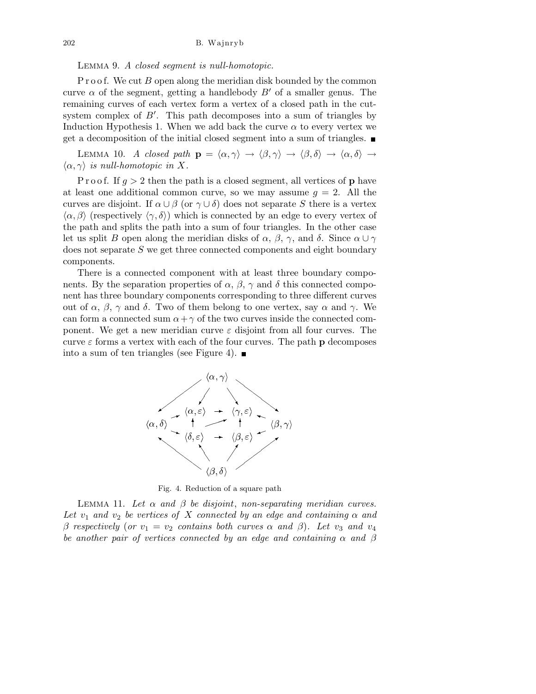Lemma 9. A closed segment is null-homotopic.

P r o o f. We cut  $B$  open along the meridian disk bounded by the common curve  $\alpha$  of the segment, getting a handlebody  $B'$  of a smaller genus. The remaining curves of each vertex form a vertex of a closed path in the cutsystem complex of  $B'$ . This path decomposes into a sum of triangles by Induction Hypothesis 1. When we add back the curve  $\alpha$  to every vertex we get a decomposition of the initial closed segment into a sum of triangles.

LEMMA 10. A closed path  $\mathbf{p} = \langle \alpha, \gamma \rangle \rightarrow \langle \beta, \gamma \rangle \rightarrow \langle \beta, \delta \rangle \rightarrow \langle \alpha, \delta \rangle \rightarrow$  $\langle \alpha, \gamma \rangle$  is null-homotopic in X.

P r o o f. If  $g > 2$  then the path is a closed segment, all vertices of **p** have at least one additional common curve, so we may assume  $g = 2$ . All the curves are disjoint. If  $\alpha \cup \beta$  (or  $\gamma \cup \delta$ ) does not separate S there is a vertex  $\langle \alpha, \beta \rangle$  (respectively  $\langle \gamma, \delta \rangle$ ) which is connected by an edge to every vertex of the path and splits the path into a sum of four triangles. In the other case let us split B open along the meridian disks of  $\alpha$ ,  $\beta$ ,  $\gamma$ , and  $\delta$ . Since  $\alpha \cup \gamma$ does not separate S we get three connected components and eight boundary components.

There is a connected component with at least three boundary components. By the separation properties of  $\alpha$ ,  $\beta$ ,  $\gamma$  and  $\delta$  this connected component has three boundary components corresponding to three different curves out of  $\alpha$ ,  $\beta$ ,  $\gamma$  and δ. Two of them belong to one vertex, say  $\alpha$  and  $\gamma$ . We can form a connected sum  $\alpha + \gamma$  of the two curves inside the connected component. We get a new meridian curve  $\varepsilon$  disjoint from all four curves. The curve  $\varepsilon$  forms a vertex with each of the four curves. The path **p** decomposes into a sum of ten triangles (see Figure 4).  $\blacksquare$ 



Fig. 4. Reduction of a square path

LEMMA 11. Let  $\alpha$  and  $\beta$  be disjoint, non-separating meridian curves. Let  $v_1$  and  $v_2$  be vertices of X connected by an edge and containing  $\alpha$  and β respectively (or  $v_1 = v_2$  contains both curves  $\alpha$  and β). Let  $v_3$  and  $v_4$ be another pair of vertices connected by an edge and containing  $\alpha$  and  $\beta$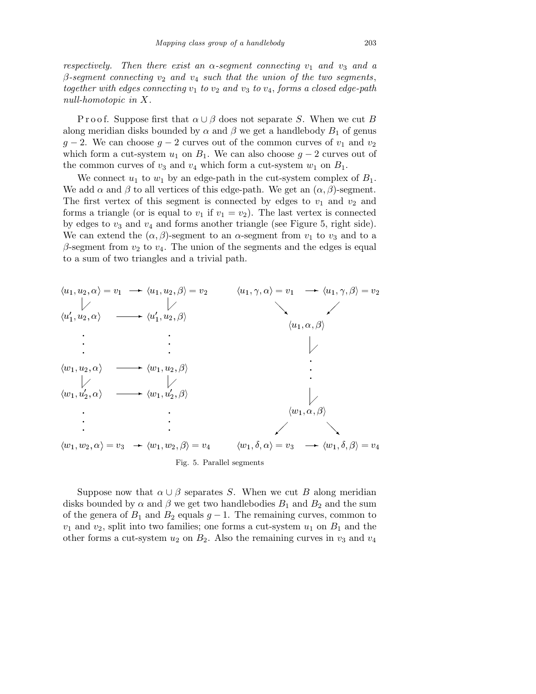respectively. Then there exist an  $\alpha$ -segment connecting  $v_1$  and  $v_3$  and a  $β$ -segment connecting  $v_2$  and  $v_4$  such that the union of the two segments, together with edges connecting  $v_1$  to  $v_2$  and  $v_3$  to  $v_4$ , forms a closed edge-path null-homotopic in X.

P r o o f. Suppose first that  $\alpha \cup \beta$  does not separate S. When we cut B along meridian disks bounded by  $\alpha$  and  $\beta$  we get a handlebody  $B_1$  of genus  $g-2$ . We can choose  $g-2$  curves out of the common curves of  $v_1$  and  $v_2$ which form a cut-system  $u_1$  on  $B_1$ . We can also choose  $g-2$  curves out of the common curves of  $v_3$  and  $v_4$  which form a cut-system  $w_1$  on  $B_1$ .

We connect  $u_1$  to  $w_1$  by an edge-path in the cut-system complex of  $B_1$ . We add  $\alpha$  and  $\beta$  to all vertices of this edge-path. We get an  $(\alpha, \beta)$ -segment. The first vertex of this segment is connected by edges to  $v_1$  and  $v_2$  and forms a triangle (or is equal to  $v_1$  if  $v_1 = v_2$ ). The last vertex is connected by edges to  $v_3$  and  $v_4$  and forms another triangle (see Figure 5, right side). We can extend the  $(\alpha, \beta)$ -segment to an  $\alpha$ -segment from  $v_1$  to  $v_3$  and to a  $\beta$ -segment from  $v_2$  to  $v_4$ . The union of the segments and the edges is equal to a sum of two triangles and a trivial path.



Suppose now that  $\alpha \cup \beta$  separates S. When we cut B along meridian disks bounded by  $\alpha$  and  $\beta$  we get two handlebodies  $B_1$  and  $B_2$  and the sum of the genera of  $B_1$  and  $B_2$  equals  $g-1$ . The remaining curves, common to  $v_1$  and  $v_2$ , split into two families; one forms a cut-system  $u_1$  on  $B_1$  and the other forms a cut-system  $u_2$  on  $B_2$ . Also the remaining curves in  $v_3$  and  $v_4$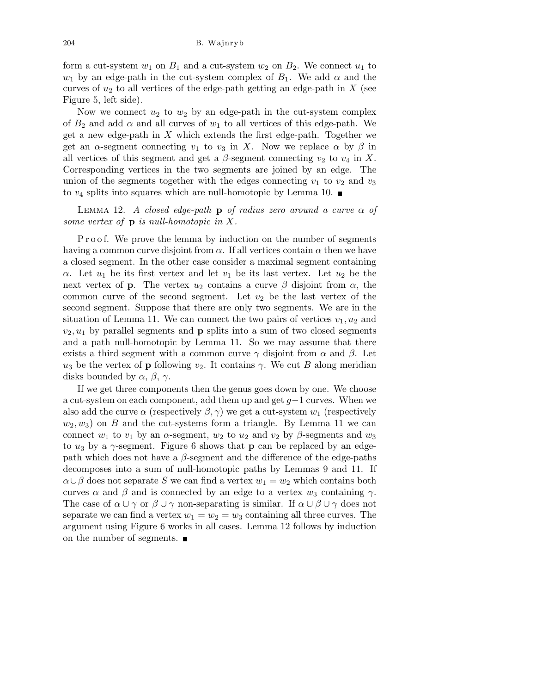form a cut-system  $w_1$  on  $B_1$  and a cut-system  $w_2$  on  $B_2$ . We connect  $u_1$  to  $w_1$  by an edge-path in the cut-system complex of  $B_1$ . We add  $\alpha$  and the curves of  $u_2$  to all vertices of the edge-path getting an edge-path in X (see Figure 5, left side).

Now we connect  $u_2$  to  $w_2$  by an edge-path in the cut-system complex of  $B_2$  and add  $\alpha$  and all curves of  $w_1$  to all vertices of this edge-path. We get a new edge-path in  $X$  which extends the first edge-path. Together we get an  $\alpha$ -segment connecting  $v_1$  to  $v_3$  in X. Now we replace  $\alpha$  by  $\beta$  in all vertices of this segment and get a  $\beta$ -segment connecting  $v_2$  to  $v_4$  in X. Corresponding vertices in the two segments are joined by an edge. The union of the segments together with the edges connecting  $v_1$  to  $v_2$  and  $v_3$ to  $v_4$  splits into squares which are null-homotopic by Lemma 10.

LEMMA 12. A closed edge-path **p** of radius zero around a curve  $\alpha$  of some vertex of  $\bf{p}$  is null-homotopic in X.

P r o o f. We prove the lemma by induction on the number of segments having a common curve disjoint from  $\alpha$ . If all vertices contain  $\alpha$  then we have a closed segment. In the other case consider a maximal segment containing α. Let  $u_1$  be its first vertex and let  $v_1$  be its last vertex. Let  $u_2$  be the next vertex of **p**. The vertex  $u_2$  contains a curve  $\beta$  disjoint from  $\alpha$ , the common curve of the second segment. Let  $v_2$  be the last vertex of the second segment. Suppose that there are only two segments. We are in the situation of Lemma 11. We can connect the two pairs of vertices  $v_1, u_2$  and  $v_2, u_1$  by parallel segments and **p** splits into a sum of two closed segments and a path null-homotopic by Lemma 11. So we may assume that there exists a third segment with a common curve  $\gamma$  disjoint from  $\alpha$  and  $\beta$ . Let  $u_3$  be the vertex of **p** following  $v_2$ . It contains  $\gamma$ . We cut B along meridian disks bounded by  $\alpha$ ,  $\beta$ ,  $\gamma$ .

If we get three components then the genus goes down by one. We choose a cut-system on each component, add them up and get g−1 curves. When we also add the curve  $\alpha$  (respectively  $\beta$ ,  $\gamma$ ) we get a cut-system  $w_1$  (respectively  $(w_2, w_3)$  on B and the cut-systems form a triangle. By Lemma 11 we can connect  $w_1$  to  $v_1$  by an  $\alpha$ -segment,  $w_2$  to  $u_2$  and  $v_2$  by  $\beta$ -segments and  $w_3$ to  $u_3$  by a  $\gamma$ -segment. Figure 6 shows that **p** can be replaced by an edgepath which does not have a  $\beta$ -segment and the difference of the edge-paths decomposes into a sum of null-homotopic paths by Lemmas 9 and 11. If  $\alpha \cup \beta$  does not separate S we can find a vertex  $w_1 = w_2$  which contains both curves  $\alpha$  and  $\beta$  and is connected by an edge to a vertex  $w_3$  containing  $\gamma$ . The case of  $\alpha \cup \gamma$  or  $\beta \cup \gamma$  non-separating is similar. If  $\alpha \cup \beta \cup \gamma$  does not separate we can find a vertex  $w_1 = w_2 = w_3$  containing all three curves. The argument using Figure 6 works in all cases. Lemma 12 follows by induction on the number of segments.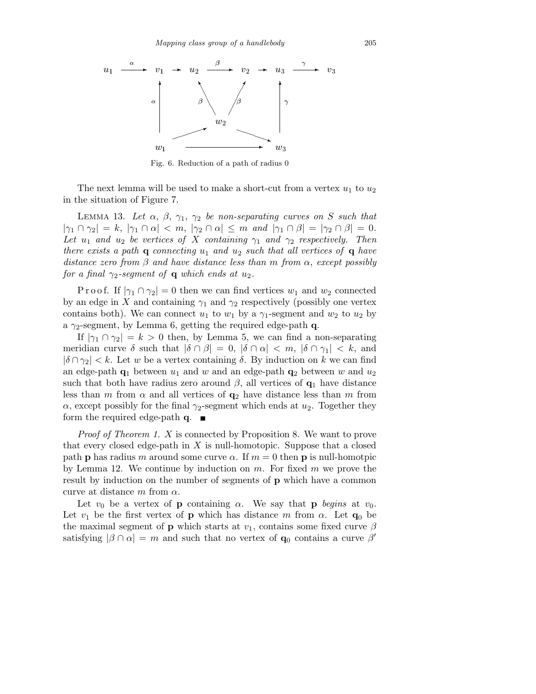

Fig. 6. Reduction of a path of radius 0

The next lemma will be used to make a short-cut from a vertex  $u_1$  to  $u_2$ in the situation of Figure 7.

LEMMA 13. Let  $\alpha$ ,  $\beta$ ,  $\gamma_1$ ,  $\gamma_2$  be non-separating curves on S such that  $|\gamma_1 \cap \gamma_2| = k, |\gamma_1 \cap \alpha| < m, |\gamma_2 \cap \alpha| \leq m$  and  $|\gamma_1 \cap \beta| = |\gamma_2 \cap \beta| = 0.$ Let  $u_1$  and  $u_2$  be vertices of X containing  $\gamma_1$  and  $\gamma_2$  respectively. Then there exists a path **q** connecting  $u_1$  and  $u_2$  such that all vertices of **q** have distance zero from  $\beta$  and have distance less than m from  $\alpha$ , except possibly for a final  $\gamma_2$ -segment of **q** which ends at  $u_2$ .

P r o o f. If  $|\gamma_1 \cap \gamma_2| = 0$  then we can find vertices  $w_1$  and  $w_2$  connected by an edge in X and containing  $\gamma_1$  and  $\gamma_2$  respectively (possibly one vertex contains both). We can connect  $u_1$  to  $w_1$  by a  $\gamma_1$ -segment and  $w_2$  to  $u_2$  by a  $\gamma_2$ -segment, by Lemma 6, getting the required edge-path q.

If  $|\gamma_1 \cap \gamma_2| = k > 0$  then, by Lemma 5, we can find a non-separating meridian curve  $\delta$  such that  $|\delta \cap \beta| = 0$ ,  $|\delta \cap \alpha| < m$ ,  $|\delta \cap \gamma_1| < k$ , and  $|\delta \cap \gamma_2| < k$ . Let w be a vertex containing  $\delta$ . By induction on k we can find an edge-path  $q_1$  between  $u_1$  and w and an edge-path  $q_2$  between w and  $u_2$ such that both have radius zero around  $\beta$ , all vertices of  $\mathbf{q}_1$  have distance less than m from  $\alpha$  and all vertices of  $q_2$  have distance less than m from  $\alpha$ , except possibly for the final  $\gamma_2$ -segment which ends at  $u_2$ . Together they form the required edge-path  $\mathbf{q}$ .

Proof of Theorem 1. X is connected by Proposition 8. We want to prove that every closed edge-path in  $X$  is null-homotopic. Suppose that a closed path **p** has radius m around some curve  $\alpha$ . If  $m = 0$  then **p** is null-homotpic by Lemma 12. We continue by induction on  $m$ . For fixed  $m$  we prove the result by induction on the number of segments of p which have a common curve at distance m from  $\alpha$ .

Let  $v_0$  be a vertex of **p** containing  $\alpha$ . We say that **p** begins at  $v_0$ . Let  $v_1$  be the first vertex of **p** which has distance m from  $\alpha$ . Let  $\mathbf{q}_0$  be the maximal segment of **p** which starts at  $v_1$ , contains some fixed curve  $\beta$ satisfying  $|\beta \cap \alpha| = m$  and such that no vertex of  $\mathbf{q}_0$  contains a curve  $\beta'$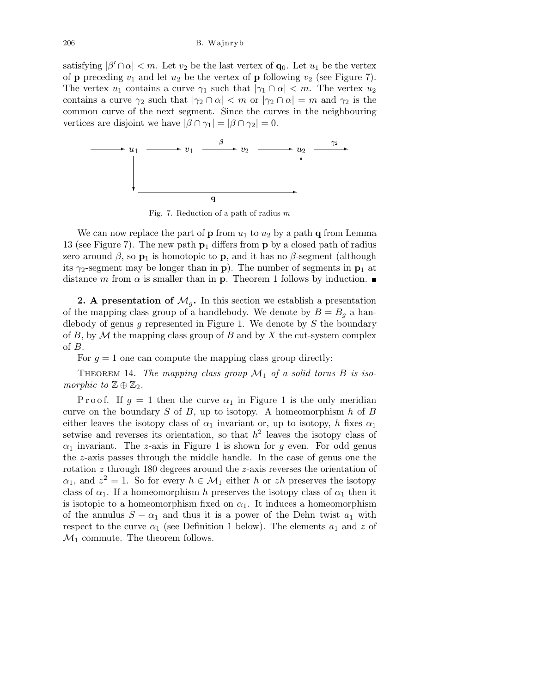satisfying  $|\beta' \cap \alpha| < m$ . Let  $v_2$  be the last vertex of  $\mathbf{q}_0$ . Let  $u_1$  be the vertex of **p** preceding  $v_1$  and let  $u_2$  be the vertex of **p** following  $v_2$  (see Figure 7). The vertex  $u_1$  contains a curve  $\gamma_1$  such that  $|\gamma_1 \cap \alpha| < m$ . The vertex  $u_2$ contains a curve  $\gamma_2$  such that  $|\gamma_2 \cap \alpha| < m$  or  $|\gamma_2 \cap \alpha| = m$  and  $\gamma_2$  is the common curve of the next segment. Since the curves in the neighbouring vertices are disjoint we have  $|\beta \cap \gamma_1| = |\beta \cap \gamma_2| = 0$ .



Fig. 7. Reduction of a path of radius *m*

We can now replace the part of **p** from  $u_1$  to  $u_2$  by a path **q** from Lemma 13 (see Figure 7). The new path  $p_1$  differs from p by a closed path of radius zero around  $\beta$ , so  $\mathbf{p}_1$  is homotopic to **p**, and it has no  $\beta$ -segment (although its  $\gamma_2$ -segment may be longer than in **p**). The number of segments in **p**<sub>1</sub> at distance m from  $\alpha$  is smaller than in **p**. Theorem 1 follows by induction.

**2.** A presentation of  $\mathcal{M}_g$ . In this section we establish a presentation of the mapping class group of a handlebody. We denote by  $B = B<sub>q</sub>$  a handlebody of genus g represented in Figure 1. We denote by  $S$  the boundary of B, by  $\mathcal M$  the mapping class group of B and by X the cut-system complex of B.

For  $q = 1$  one can compute the mapping class group directly:

THEOREM 14. The mapping class group  $\mathcal{M}_1$  of a solid torus B is isomorphic to  $\mathbb{Z} \oplus \mathbb{Z}_2$ .

P r o o f. If  $g = 1$  then the curve  $\alpha_1$  in Figure 1 is the only meridian curve on the boundary  $S$  of  $B$ , up to isotopy. A homeomorphism  $h$  of  $B$ either leaves the isotopy class of  $\alpha_1$  invariant or, up to isotopy, h fixes  $\alpha_1$ setwise and reverses its orientation, so that  $h^2$  leaves the isotopy class of  $\alpha_1$  invariant. The z-axis in Figure 1 is shown for g even. For odd genus the z-axis passes through the middle handle. In the case of genus one the rotation z through 180 degrees around the z-axis reverses the orientation of  $\alpha_1$ , and  $z^2 = 1$ . So for every  $h \in \mathcal{M}_1$  either h or zh preserves the isotopy class of  $\alpha_1$ . If a homeomorphism h preserves the isotopy class of  $\alpha_1$  then it is isotopic to a homeomorphism fixed on  $\alpha_1$ . It induces a homeomorphism of the annulus  $S - \alpha_1$  and thus it is a power of the Dehn twist  $a_1$  with respect to the curve  $\alpha_1$  (see Definition 1 below). The elements  $a_1$  and z of  $\mathcal{M}_1$  commute. The theorem follows.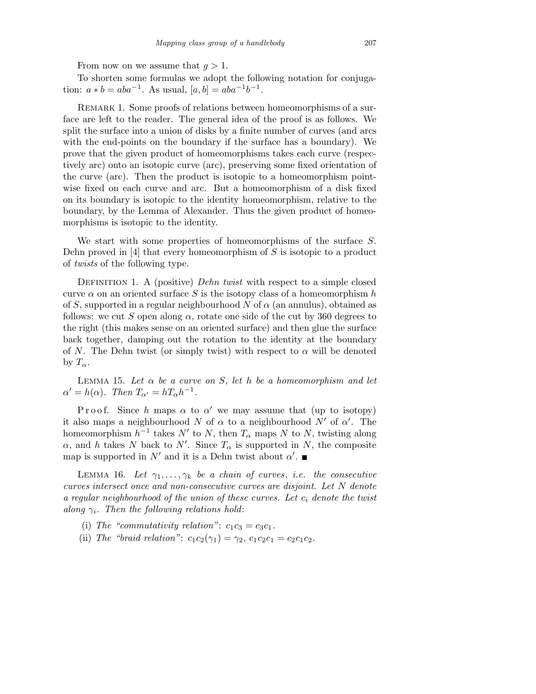From now on we assume that  $q > 1$ .

To shorten some formulas we adopt the following notation for conjugation:  $a * b = aba^{-1}$ . As usual,  $[a, b] = aba^{-1}b^{-1}$ .

REMARK 1. Some proofs of relations between homeomorphisms of a surface are left to the reader. The general idea of the proof is as follows. We split the surface into a union of disks by a finite number of curves (and arcs with the end-points on the boundary if the surface has a boundary). We prove that the given product of homeomorphisms takes each curve (respectively arc) onto an isotopic curve (arc), preserving some fixed orientation of the curve (arc). Then the product is isotopic to a homeomorphism pointwise fixed on each curve and arc. But a homeomorphism of a disk fixed on its boundary is isotopic to the identity homeomorphism, relative to the boundary, by the Lemma of Alexander. Thus the given product of homeomorphisms is isotopic to the identity.

We start with some properties of homeomorphisms of the surface S. Dehn proved in  $[4]$  that every homeomorphism of S is isotopic to a product of twists of the following type.

DEFINITION 1. A (positive) Dehn twist with respect to a simple closed curve  $\alpha$  on an oriented surface S is the isotopy class of a homeomorphism h of S, supported in a regular neighbourhood N of  $\alpha$  (an annulus), obtained as follows: we cut S open along  $\alpha$ , rotate one side of the cut by 360 degrees to the right (this makes sense on an oriented surface) and then glue the surface back together, damping out the rotation to the identity at the boundary of N. The Dehn twist (or simply twist) with respect to  $\alpha$  will be denoted by  $T_{\alpha}$ .

LEMMA 15. Let  $\alpha$  be a curve on S, let h be a homeomorphism and let  $\alpha' = h(\alpha)$ . Then  $T_{\alpha'} = hT_{\alpha}h^{-1}$ .

Proof. Since h maps  $\alpha$  to  $\alpha'$  we may assume that (up to isotopy) it also maps a neighbourhood N of  $\alpha$  to a neighbourhood N' of  $\alpha'$ . The homeomorphism  $h^{-1}$  takes N' to N, then  $T_{\alpha}$  maps N to N, twisting along  $\alpha$ , and h takes N back to N'. Since  $T_{\alpha}$  is supported in N, the composite map is supported in  $N'$  and it is a Dehn twist about  $\alpha'$ .

LEMMA 16. Let  $\gamma_1, \ldots, \gamma_k$  be a chain of curves, i.e. the consecutive curves intersect once and non-consecutive curves are disjoint. Let N denote a regular neighbourhood of the union of these curves. Let  $c_i$  denote the twist along  $\gamma_i$ . Then the following relations hold:

(i) The "commutativity relation":  $c_1c_3 = c_3c_1$ .

(ii) The "braid relation":  $c_1c_2(\gamma_1) = \gamma_2$ ,  $c_1c_2c_1 = c_2c_1c_2$ .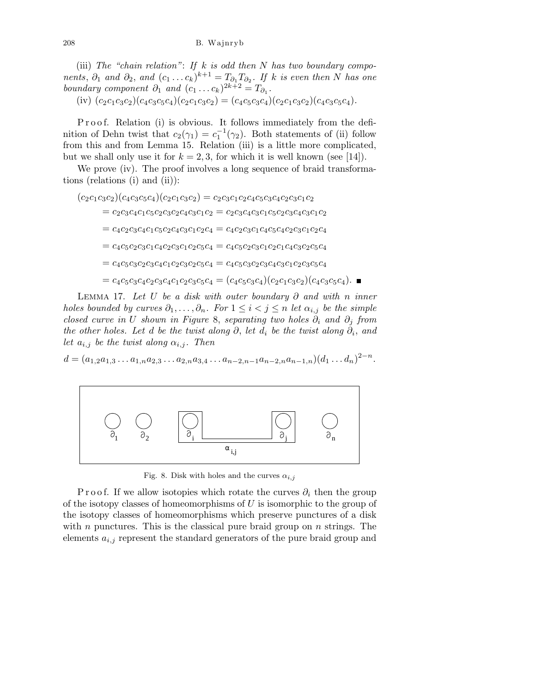(iii) The "chain relation": If k is odd then N has two boundary components,  $\partial_1$  and  $\partial_2$ , and  $(c_1 \ldots c_k)^{k+1} = T_{\partial_1} T_{\partial_2}$ . If k is even then N has one boundary component  $\partial_1$  and  $(c_1 \ldots c_k)^{2k+2} = T_{\partial_1}$ .

(iv)  $(c_2c_1c_3c_2)(c_4c_3c_5c_4)(c_2c_1c_3c_2) = (c_4c_5c_3c_4)(c_2c_1c_3c_2)(c_4c_3c_5c_4).$ 

P r o o f. Relation (i) is obvious. It follows immediately from the definition of Dehn twist that  $c_2(\gamma_1) = c_1^{-1}(\gamma_2)$ . Both statements of (ii) follow from this and from Lemma 15. Relation (iii) is a little more complicated, but we shall only use it for  $k = 2, 3$ , for which it is well known (see [14]).

We prove (iv). The proof involves a long sequence of braid transformations (relations (i) and (ii)):

 $(c_2c_1c_3c_2)(c_4c_3c_5c_4)(c_2c_1c_3c_2) = c_2c_3c_1c_2c_4c_5c_3c_4c_2c_3c_1c_2$  $=c_2c_3c_4c_1c_5c_2c_3c_2c_4c_3c_1c_2=c_2c_3c_4c_3c_1c_5c_2c_3c_4c_3c_1c_2$  $=c_4c_2c_3c_4c_1c_5c_2c_4c_3c_1c_2c_4=c_4c_2c_3c_1c_4c_5c_4c_2c_3c_1c_2c_4$  $=c_4c_5c_2c_3c_1c_4c_2c_3c_1c_2c_5c_4=c_4c_5c_2c_3c_1c_2c_1c_4c_3c_2c_5c_4$  $=c_4c_5c_3c_2c_3c_4c_1c_2c_3c_2c_5c_4=c_4c_5c_3c_2c_3c_4c_3c_1c_2c_3c_5c_4$  $= c_4c_5c_3c_4c_2c_3c_4c_1c_2c_3c_5c_4 = (c_4c_5c_3c_4)(c_2c_1c_3c_2)(c_4c_3c_5c_4)$ .

LEMMA 17. Let U be a disk with outer boundary  $\partial$  and with n inner holes bounded by curves  $\partial_1, \ldots, \partial_n$ . For  $1 \leq i < j \leq n$  let  $\alpha_{i,j}$  be the simple closed curve in U shown in Figure 8, separating two holes  $\partial_i$  and  $\partial_j$  from the other holes. Let d be the twist along  $\partial$ , let  $d_i$  be the twist along  $\partial_i$ , and let  $a_{i,j}$  be the twist along  $\alpha_{i,j}$ . Then

 $d = (a_{1,2}a_{1,3}\ldots a_{1,n}a_{2,3}\ldots a_{2,n}a_{3,4}\ldots a_{n-2,n-1}a_{n-2,n}a_{n-1,n})(d_1\ldots d_n)^{2-n}.$ 



Fig. 8. Disk with holes and the curves  $\alpha_{i,j}$ 

P r o o f. If we allow isotopies which rotate the curves  $\partial_i$  then the group of the isotopy classes of homeomorphisms of  $U$  is isomorphic to the group of the isotopy classes of homeomorphisms which preserve punctures of a disk with n punctures. This is the classical pure braid group on  $n$  strings. The elements  $a_{i,j}$  represent the standard generators of the pure braid group and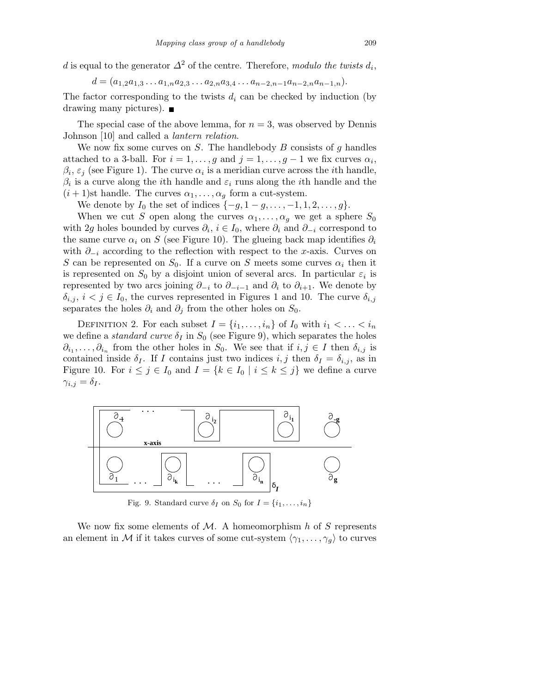d is equal to the generator  $\Delta^2$  of the centre. Therefore, modulo the twists  $d_i$ ,

$$
d = (a_{1,2}a_{1,3}\ldots a_{1,n}a_{2,3}\ldots a_{2,n}a_{3,4}\ldots a_{n-2,n-1}a_{n-2,n}a_{n-1,n}).
$$

The factor corresponding to the twists  $d_i$  can be checked by induction (by drawing many pictures).  $\blacksquare$ 

The special case of the above lemma, for  $n = 3$ , was observed by Dennis Johnson [10] and called a lantern relation.

We now fix some curves on  $S$ . The handlebody  $B$  consists of  $g$  handles attached to a 3-ball. For  $i = 1, \ldots, g$  and  $j = 1, \ldots, g - 1$  we fix curves  $\alpha_i$ ,  $\beta_i$ ,  $\varepsilon_j$  (see Figure 1). The curve  $\alpha_i$  is a meridian curve across the *i*th handle,  $\beta_i$  is a curve along the *i*th handle and  $\varepsilon_i$  runs along the *i*<sup>th</sup> handle and the  $(i + 1)$ st handle. The curves  $\alpha_1, \ldots, \alpha_q$  form a cut-system.

We denote by  $I_0$  the set of indices  $\{-g, 1 - g, \ldots, -1, 1, 2, \ldots, g\}.$ 

When we cut S open along the curves  $\alpha_1, \ldots, \alpha_g$  we get a sphere  $S_0$ with 2g holes bounded by curves  $\partial_i$ ,  $i \in I_0$ , where  $\partial_i$  and  $\partial_{-i}$  correspond to the same curve  $\alpha_i$  on S (see Figure 10). The glueing back map identifies  $\partial_i$ with  $\partial_{-i}$  according to the reflection with respect to the x-axis. Curves on S can be represented on  $S_0$ . If a curve on S meets some curves  $\alpha_i$  then it is represented on  $S_0$  by a disjoint union of several arcs. In particular  $\varepsilon_i$  is represented by two arcs joining  $\partial_{-i}$  to  $\partial_{-i-1}$  and  $\partial_i$  to  $\partial_{i+1}$ . We denote by  $\delta_{i,j}, i < j \in I_0$ , the curves represented in Figures 1 and 10. The curve  $\delta_{i,j}$ separates the holes  $\partial_i$  and  $\partial_j$  from the other holes on  $S_0$ .

DEFINITION 2. For each subset  $I = \{i_1, \ldots, i_n\}$  of  $I_0$  with  $i_1 < \ldots < i_n$ we define a *standard curve*  $\delta_I$  in  $S_0$  (see Figure 9), which separates the holes  $\partial_{i_1}, \ldots, \partial_{i_n}$  from the other holes in  $S_0$ . We see that if  $i, j \in I$  then  $\delta_{i,j}$  is contained inside  $\delta_I$ . If I contains just two indices i, j then  $\delta_I = \delta_{i,j}$ , as in Figure 10. For  $i \leq j \in I_0$  and  $I = \{k \in I_0 \mid i \leq k \leq j\}$  we define a curve  $\gamma_{i,j} = \delta_I$ .



Fig. 9. Standard curve  $\delta_I$  on  $S_0$  for  $I = \{i_1, \ldots, i_n\}$ 

We now fix some elements of  $\mathcal{M}$ . A homeomorphism h of S represents an element in M if it takes curves of some cut-system  $\langle \gamma_1, \ldots, \gamma_q \rangle$  to curves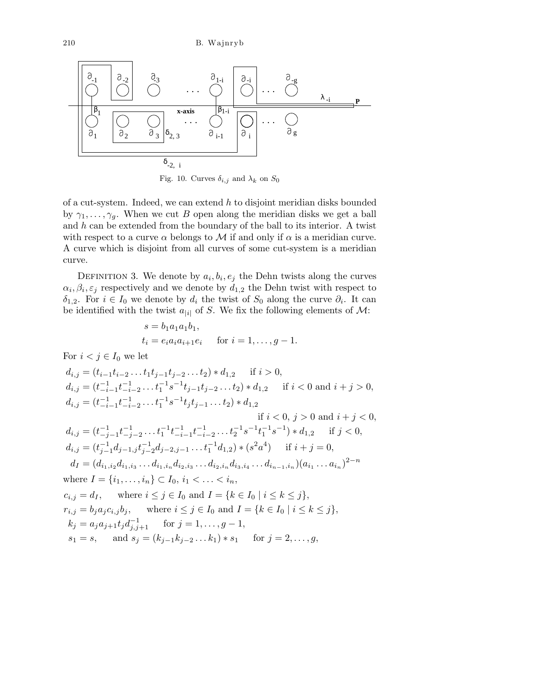$$
\begin{array}{|c|c|c|c|c|}\hline\begin{matrix}\n\frac{\partial_{-1}}{\partial} & \frac{\partial_{-2}}{\partial} & \frac{\partial_{-3}}{\partial} & \dots & \frac{\partial_{1-i}}{\partial} & \frac{\partial_{-i}}{\partial} \\
\vdots & \vdots & \ddots & \vdots & \vdots \\
\frac{\partial_{1}}{\partial_{1}} & \frac{\partial_{2}}{\partial_{2}} & \frac{\partial_{3}}{\partial_{3}} & \dots & \frac{\partial_{i-1}}{\partial_{i}} & \frac{\partial_{i}}{\partial_{i}}\n\end{matrix}\n\end{array}
$$
\n
$$
\xrightarrow{\mathbf{a}_{-1} \mathbf{a}_{-2} \mathbf{a}_{-3} \mathbf{b}_{2,3} \mathbf{b}_{2,3} \mathbf{b}_{1,1} \mathbf{b}_{2} \mathbf{b}_{3} \mathbf{c}_{2,1}
$$

Fig. 10. Curves  $\delta_{i,j}$  and  $\lambda_k$  on  $S_0$ 

of a cut-system. Indeed, we can extend  $h$  to disjoint meridian disks bounded by  $\gamma_1, \ldots, \gamma_g$ . When we cut B open along the meridian disks we get a ball and  $h$  can be extended from the boundary of the ball to its interior. A twist with respect to a curve  $\alpha$  belongs to M if and only if  $\alpha$  is a meridian curve. A curve which is disjoint from all curves of some cut-system is a meridian curve.

DEFINITION 3. We denote by  $a_i, b_i, e_j$  the Dehn twists along the curves  $\alpha_i, \beta_i, \varepsilon_j$  respectively and we denote by  $d_{1,2}$  the Dehn twist with respect to  $\delta_{1,2}$ . For  $i \in I_0$  we denote by  $d_i$  the twist of  $S_0$  along the curve  $\partial_i$ . It can be identified with the twist  $a_{i|i|}$  of S. We fix the following elements of M:

$$
s = b_1 a_1 a_1 b_1,
$$
  
\n
$$
t_i = e_i a_i a_{i+1} e_i \quad \text{for } i = 1, ..., g - 1.
$$

For  $i < j \in I_0$  we let

$$
d_{i,j} = (t_{i-1}t_{i-2}...t_1t_{j-1}t_{j-2}...t_2) * d_{1,2} \quad \text{if } i > 0,
$$
  
\n
$$
d_{i,j} = (t_{-i-1}^{-1}t_{-i-2}^{-1}...t_1^{-1}s^{-1}t_{j-1}t_{j-2}...t_2) * d_{1,2} \quad \text{if } i < 0 \text{ and } i + j > 0,
$$
  
\n
$$
d_{i,j} = (t_{-i-1}^{-1}t_{-i-2}^{-1}...t_1^{-1}s^{-1}t_jt_{j-1}...t_2) * d_{1,2} \quad \text{if } i < 0, j > 0 \text{ and } i + j < 0,
$$
  
\n
$$
d_{i,j} = (t_{-j-1}^{-1}t_{-j-2}^{-1}...t_1^{-1}t_{-i-1}^{-1}t_{-i-2}^{-1}...t_2^{-1}s^{-1}t_1^{-1}s^{-1}) * d_{1,2} \quad \text{if } j < 0,
$$
  
\n
$$
d_{i,j} = (t_{j-1}^{-1}d_{j-1,j}t_{j-2}^{-1}d_{j-2,j-1}...t_1^{-1}d_{1,2}) * (s^2a^4) \quad \text{if } i + j = 0,
$$
  
\n
$$
d_I = (d_{i_1,i_2}d_{i_1,i_3}...d_{i_1,i_n}d_{i_2,i_3}...d_{i_2,i_n}d_{i_3,i_4}...d_{i_{n-1},i_n})(a_{i_1}...a_{i_n})^{2-n}
$$
  
\nwhere  $I = \{i_1, ..., i_n\} \subset I_0, i_1 < ... < i_n,$   
\n
$$
c_{i,j} = d_I, \quad \text{where } i \le j \in I_0 \text{ and } I = \{k \in I_0 \mid i \le k \le j\},
$$
  
\n
$$
r_{i,j} = b_j a_j c_{i,j} b_j, \quad \text{where } i \le j \in I_0 \text{ and } I = \{k \in I_0 \mid i \le k \le j\},
$$
  
\n
$$
k_j = a_j a_{j+1} t_j d_{j,j+1}^{-1} \quad \text{for } j = 1, ..., g-1
$$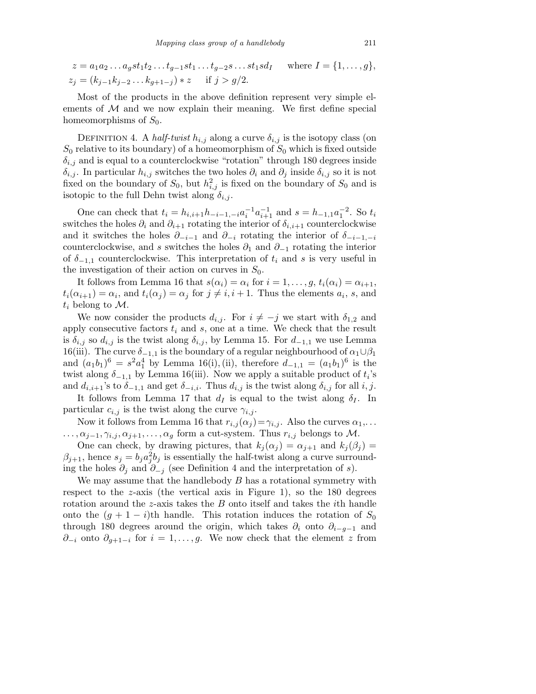$$
z = a_1 a_2 \dots a_g s t_1 t_2 \dots t_{g-1} s t_1 \dots t_{g-2} s \dots s t_1 s d_I \quad \text{where } I = \{1, \dots, g\},
$$
  

$$
z_j = (k_{j-1} k_{j-2} \dots k_{g+1-j}) * z \quad \text{if } j > g/2.
$$

Most of the products in the above definition represent very simple elements of  $M$  and we now explain their meaning. We first define special homeomorphisms of  $S_0$ .

DEFINITION 4. A half-twist  $h_{i,j}$  along a curve  $\delta_{i,j}$  is the isotopy class (on  $S_0$  relative to its boundary) of a homeomorphism of  $S_0$  which is fixed outside  $\delta_{i,j}$  and is equal to a counterclockwise "rotation" through 180 degrees inside  $\delta_{i,j}$ . In particular  $h_{i,j}$  switches the two holes  $\partial_i$  and  $\partial_j$  inside  $\delta_{i,j}$  so it is not fixed on the boundary of  $S_0$ , but  $h_{i,j}^2$  is fixed on the boundary of  $S_0$  and is isotopic to the full Dehn twist along  $\delta_{i,j}$ .

One can check that  $t_i = h_{i,i+1}h_{-i-1,-i}a_i^{-1}a_{i+1}^{-1}$  and  $s = h_{-1,1}a_1^{-2}$ . So  $t_i$ switches the holes  $\partial_i$  and  $\partial_{i+1}$  rotating the interior of  $\delta_{i,i+1}$  counterclockwise and it switches the holes  $\partial_{-i-1}$  and  $\partial_{-i}$  rotating the interior of  $\delta_{-i-1,-i}$ counterclockwise, and s switches the holes  $\partial_1$  and  $\partial_{-1}$  rotating the interior of  $\delta$ <sub>−1,1</sub> counterclockwise. This interpretation of  $t_i$  and s is very useful in the investigation of their action on curves in  $S_0$ .

It follows from Lemma 16 that  $s(\alpha_i) = \alpha_i$  for  $i = 1, \ldots, g, t_i(\alpha_i) = \alpha_{i+1}$ ,  $t_i(\alpha_{i+1}) = \alpha_i$ , and  $t_i(\alpha_j) = \alpha_j$  for  $j \neq i, i+1$ . Thus the elements  $a_i$ , s, and  $t_i$  belong to M.

We now consider the products  $d_{i,j}$ . For  $i \neq -j$  we start with  $\delta_{1,2}$  and apply consecutive factors  $t_i$  and s, one at a time. We check that the result is  $\delta_{i,j}$  so  $d_{i,j}$  is the twist along  $\delta_{i,j}$ , by Lemma 15. For  $d_{-1,1}$  we use Lemma 16(iii). The curve  $\delta_{-1,1}$  is the boundary of a regular neighbourhood of  $\alpha_1 \cup \beta_1$ and  $(a_1b_1)^6 = s^2a_1^4$  by Lemma 16(i), (ii), therefore  $d_{-1,1} = (a_1b_1)^6$  is the twist along  $\delta_{-1,1}$  by Lemma 16(iii). Now we apply a suitable product of  $t_i$ 's and  $d_{i,i+1}$ 's to  $\delta_{-1,1}$  and get  $\delta_{-i,i}$ . Thus  $d_{i,j}$  is the twist along  $\delta_{i,j}$  for all  $i, j$ .

It follows from Lemma 17 that  $d_I$  is equal to the twist along  $\delta_I$ . In particular  $c_{i,j}$  is the twist along the curve  $\gamma_{i,j}$ .

Now it follows from Lemma 16 that  $r_{i,j}(\alpha_j) = \gamma_{i,j}$ . Also the curves  $\alpha_1, \ldots$  $\ldots, \alpha_{j-1}, \gamma_{i,j}, \alpha_{j+1}, \ldots, \alpha_q$  form a cut-system. Thus  $r_{i,j}$  belongs to M.

One can check, by drawing pictures, that  $k_i(\alpha_i) = \alpha_{i+1}$  and  $k_i(\beta_i) =$  $\beta_{j+1}$ , hence  $s_j = b_j a_j^2 b_j$  is essentially the half-twist along a curve surrounding the holes  $\partial_i$  and  $\partial_{-i}$  (see Definition 4 and the interpretation of s).

We may assume that the handlebody  $B$  has a rotational symmetry with respect to the z-axis (the vertical axis in Figure 1), so the 180 degrees rotation around the z-axis takes the B onto itself and takes the ith handle onto the  $(g + 1 - i)$ th handle. This rotation induces the rotation of  $S_0$ through 180 degrees around the origin, which takes  $\partial_i$  onto  $\partial_{i-g-1}$  and  $\partial_{-i}$  onto  $\partial_{g+1-i}$  for  $i=1,\ldots,g$ . We now check that the element z from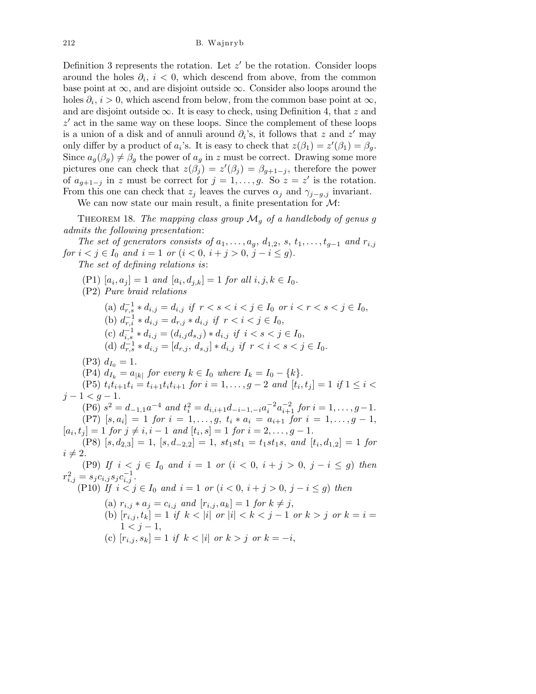Definition 3 represents the rotation. Let  $z'$  be the rotation. Consider loops around the holes  $\partial_i$ ,  $i < 0$ , which descend from above, from the common base point at  $\infty$ , and are disjoint outside  $\infty$ . Consider also loops around the holes  $\partial_i$ ,  $i > 0$ , which ascend from below, from the common base point at  $\infty$ , and are disjoint outside  $\infty$ . It is easy to check, using Definition 4, that z and  $z'$  act in the same way on these loops. Since the complement of these loops is a union of a disk and of annuli around  $\partial_i$ 's, it follows that z and z' may only differ by a product of  $a_i$ 's. It is easy to check that  $z(\beta_1) = z'(\beta_1) = \beta_g$ . Since  $a_g(\beta_g) \neq \beta_g$  the power of  $a_g$  in z must be correct. Drawing some more pictures one can check that  $z(\beta_j) = z'(\beta_j) = \beta_{g+1-j}$ , therefore the power of  $a_{g+1-j}$  in z must be correct for  $j=1,\ldots,g$ . So  $z=z'$  is the rotation. From this one can check that  $z_j$  leaves the curves  $\alpha_j$  and  $\gamma_{j-g,j}$  invariant.

We can now state our main result, a finite presentation for  $\mathcal{M}$ :

THEOREM 18. The mapping class group  $\mathcal{M}_q$  of a handlebody of genus g admits the following presentation:

The set of generators consists of  $a_1, \ldots, a_q, d_{1,2}, s, t_1, \ldots, t_{q-1}$  and  $r_{i,j}$ for  $i < j \in I_0$  and  $i = 1$  or  $(i < 0, i + j > 0, j - i \le g)$ .

The set of defining relations is:

(P1)  $[a_i, a_j] = 1$  and  $[a_i, d_{j,k}] = 1$  for all  $i, j, k \in I_0$ . (P2) Pure braid relations (a)  $d_{r,s}^{-1} * d_{i,j} = d_{i,j}$  if  $r < s < i < j \in I_0$  or  $i < r < s < j \in I_0$ , (b)  $d_{r,i}^{-1} * d_{i,j} = d_{r,j} * d_{i,j}$  if  $r < i < j \in I_0$ , (c)  $d_{i,s}^{-1} * d_{i,j} = (d_{i,j}d_{s,j}) * d_{i,j}$  if  $i < s < j \in I_0$ , (d)  $d_{r,s}^{-1} * d_{i,j} = [d_{r,j}, d_{s,j}] * d_{i,j}$  if  $r < i < s < j \in I_0$ .  $(P3) d_{I_0} = 1.$ (P4)  $d_{I_k} = a_{|k|}$  for every  $k \in I_0$  where  $I_k = I_0 - \{k\}.$ (P5)  $t_i t_{i+1} t_i = t_{i+1} t_i t_{i+1}$  for  $i = 1, \ldots, g-2$  and  $[t_i, t_j] = 1$  if  $1 \leq i <$  $j - 1 < q - 1$ .  $(P6)$   $s^2 = d_{-1,1}a^{-4}$  and  $t_i^2 = d_{i,i+1}d_{-i-1,-i}a_i^{-2}a_{i+1}^{-2}$  for  $i = 1, \ldots, g-1$ . (P7)  $[s, a_i] = 1$  for  $i = 1, \ldots, g$ ,  $t_i * a_i = a_{i+1}$  for  $i = 1, \ldots, g-1$ ,  $[a_i, t_j] = 1$  for  $j \neq i, i - 1$  and  $[t_i, s] = 1$  for  $i = 2, \ldots, g - 1$ .  $(P8) [s, d_{2,3}] = 1, [s, d_{-2,2}] = 1, st_1st_1 = t_1st_1s, and [t_i, d_{1,2}] = 1 for$  $i \neq 2$ . (P9) If  $i < j \in I_0$  and  $i = 1$  or  $(i < 0, i + j > 0, j - i \le g)$  then  $r_{i,j}^2 = s_j c_{i,j} s_j c_{i,j}^{-1}.$ (P10) If  $i < j \in I_0$  and  $i = 1$  or  $(i < 0, i + j > 0, j - i \le g)$  then (a)  $r_{i,j} * a_j = c_{i,j}$  and  $[r_{i,j}, a_k] = 1$  for  $k \neq j$ , (b)  $[r_{i,j}, t_k] = 1$  if  $k < |i|$  or  $|i| < k < j - 1$  or  $k > j$  or  $k = i = j$  $1 < i - 1$ , (c)  $[r_{i,j}, s_k] = 1$  if  $k < |i|$  or  $k > j$  or  $k = -i$ ,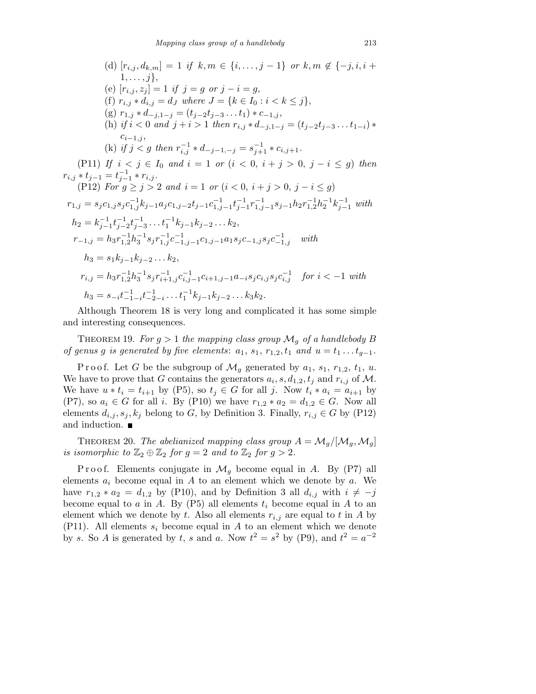(d) 
$$
[r_{i,j}, d_{k,m}] = 1
$$
 if  $k, m \in \{i, ..., j-1\}$  or  $k, m \notin \{-j, i, i+1, ..., j\}$ ,  
\n(e)  $[r_{i,j}, z_j] = 1$  if  $j = g$  or  $j - i = g$ ,  
\n(f)  $r_{i,j} * d_{i,j} = d_J$  where  $J = \{k \in I_0 : i < k \leq j\}$ ,  
\n(g)  $r_{1,j} * d_{-j,1-j} = (t_{j-2}t_{j-3} \ldots t_1) * c_{-1,j}$ ,  
\n(h) if  $i < 0$  and  $j + i > 1$  then  $r_{i,j} * d_{-j,1-j} = (t_{j-2}t_{j-3} \ldots t_{1-i}) * c_{i-1,j}$ ,  
\n(k) if  $j < g$  then  $r_{i,j}^{-1} * d_{-j-1,-j} = s_{j+1}^{-1} * c_{i,j+1}$ .  
\n(P11) If  $i < j \in I_0$  and  $i = 1$  or  $(i < 0, i + j > 0, j - i \leq g)$  then  
\n $r_{i,j} * t_{j-1} = t_{j-1}^{-1} * r_{i,j}$ .  
\n(P12) For  $g \geq j > 2$  and  $i = 1$  or  $(i < 0, i + j > 0, j - i \leq g)$   
\n $r_{1,j} = s_j c_{1,j} s_j c_{1,j}^{-1} k_{j-1} a_j c_{1,j-2} t_{j-1} c_{1,j-1}^{-1} t_{j-1}^{-1} r_{1,j-1}^{-1} s_{j-1} h_2 r_{1,2}^{-1} h_2^{-1} k_{j-1}^{-1}$  with  
\n $h_2 = k_{j-1}^{-1} t_{j-2}^{-1} t_{j-3}^{-1} \ldots t_1^{-1} k_{j-1} k_{j-2} \ldots k_2$ ,  
\n $r_{-1,j} = h_3 r_{1,2}^{-1} h_3^{-1} s_j r_{1,j}^{-1} c_{1,j-1}^{-1} c_{1,j-1} a_1 s_j c_{-1,j}$  with  
\n $h_3 = s_1 k_{$ 

Although Theorem 18 is very long and complicated it has some simple and interesting consequences.

THEOREM 19. For  $g > 1$  the mapping class group  $\mathcal{M}_g$  of a handlebody B of genus g is generated by five elements:  $a_1$ ,  $s_1$ ,  $r_{1,2}$ ,  $t_1$  and  $u = t_1 \ldots t_{g-1}$ .

Proof. Let G be the subgroup of  $\mathcal{M}_g$  generated by  $a_1, s_1, r_{1,2}, t_1, u$ . We have to prove that G contains the generators  $a_i$ ,  $s$ ,  $d_{1,2}$ ,  $t_j$  and  $r_{i,j}$  of M. We have  $u * t_i = t_{i+1}$  by (P5), so  $t_j \in G$  for all j. Now  $t_i * a_i = a_{i+1}$  by (P7), so  $a_i \in G$  for all i. By (P10) we have  $r_{1,2} * a_2 = d_{1,2} \in G$ . Now all elements  $d_{i,j}, s_j, k_j$  belong to G, by Definition 3. Finally,  $r_{i,j} \in G$  by (P12) and induction.

THEOREM 20. The abelianized mapping class group  $A = \mathcal{M}_q/[\mathcal{M}_q, \mathcal{M}_q]$ is isomorphic to  $\mathbb{Z}_2 \oplus \mathbb{Z}_2$  for  $g = 2$  and to  $\mathbb{Z}_2$  for  $g > 2$ .

P ro of. Elements conjugate in  $\mathcal{M}_g$  become equal in A. By (P7) all elements  $a_i$  become equal in A to an element which we denote by a. We have  $r_{1,2} * a_2 = d_{1,2}$  by (P10), and by Definition 3 all  $d_{i,j}$  with  $i \neq -j$ become equal to a in A. By (P5) all elements  $t_i$  become equal in A to an element which we denote by t. Also all elements  $r_{i,j}$  are equal to t in A by (P11). All elements  $s_i$  become equal in A to an element which we denote by s. So A is generated by t, s and a. Now  $t^2 = s^2$  by (P9), and  $t^2 = a^{-2}$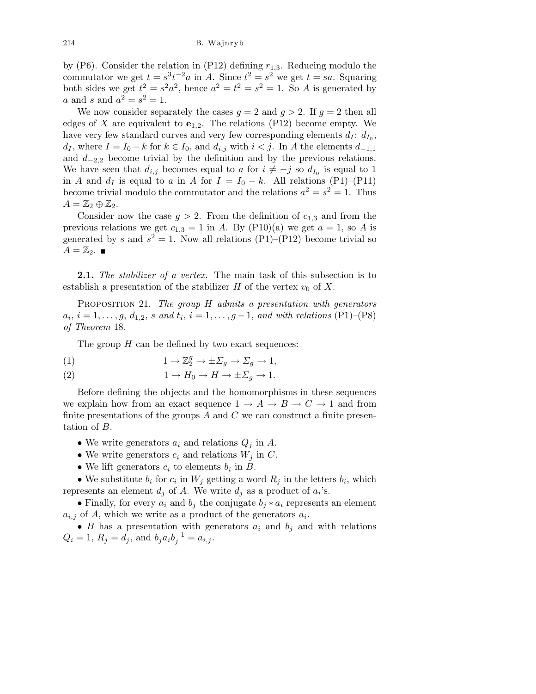by (P6). Consider the relation in (P12) defining  $r_{1,3}$ . Reducing modulo the commutator we get  $t = s^3 t^{-2} a$  in A. Since  $t^2 = s^2$  we get  $t = sa$ . Squaring both sides we get  $t^2 = s^2 a^2$ , hence  $a^2 = t^2 = s^2 = 1$ . So A is generated by *a* and *s* and  $a^2 = s^2 = 1$ .

We now consider separately the cases  $g = 2$  and  $g > 2$ . If  $g = 2$  then all edges of X are equivalent to  $e_{1,2}$ . The relations (P12) become empty. We have very few standard curves and very few corresponding elements  $d_I$ :  $d_{I_0}$ ,  $d_I$ , where  $I = I_0 - k$  for  $k \in I_0$ , and  $d_{i,j}$  with  $i < j$ . In A the elements  $d_{-1,1}$ and  $d_{-2,2}$  become trivial by the definition and by the previous relations. We have seen that  $d_{i,j}$  becomes equal to a for  $i \neq -j$  so  $d_{I_0}$  is equal to 1 in A and  $d_I$  is equal to a in A for  $I = I_0 - k$ . All relations (P1)–(P11) become trivial modulo the commutator and the relations  $a^2 = s^2 = 1$ . Thus  $A=\mathbb{Z}_2\oplus\mathbb{Z}_2.$ 

Consider now the case  $g > 2$ . From the definition of  $c_{1,3}$  and from the previous relations we get  $c_{1,3} = 1$  in A. By (P10)(a) we get  $a = 1$ , so A is generated by s and  $s^2 = 1$ . Now all relations (P1)–(P12) become trivial so  $A=\mathbb{Z}_2$ .

**2.1.** The stabilizer of a vertex. The main task of this subsection is to establish a presentation of the stabilizer H of the vertex  $v_0$  of X.

PROPOSITION 21. The group  $H$  admits a presentation with generators  $a_i, i = 1, \ldots, g, d_{1,2}, s \text{ and } t_i, i = 1, \ldots, g-1, \text{ and with relations (P1)–(P8)}$ of Theorem 18.

The group  $H$  can be defined by two exact sequences:

(1) 
$$
1 \to \mathbb{Z}_2^g \to \pm \Sigma_g \to \Sigma_g \to 1,
$$

(2) 
$$
1 \to H_0 \to H \to \pm \Sigma_g \to 1.
$$

Before defining the objects and the homomorphisms in these sequences we explain how from an exact sequence  $1 \rightarrow A \rightarrow B \rightarrow C \rightarrow 1$  and from finite presentations of the groups  $A$  and  $C$  we can construct a finite presentation of B.

- We write generators  $a_i$  and relations  $Q_j$  in A.
- We write generators  $c_i$  and relations  $W_j$  in  $C$ .
- We lift generators  $c_i$  to elements  $b_i$  in  $B$ .

• We substitute  $b_i$  for  $c_i$  in  $W_j$  getting a word  $R_j$  in the letters  $b_i$ , which represents an element  $d_j$  of A. We write  $d_j$  as a product of  $a_i$ 's.

• Finally, for every  $a_i$  and  $b_j$  the conjugate  $b_j * a_i$  represents an element  $a_{i,j}$  of A, which we write as a product of the generators  $a_i$ .

• B has a presentation with generators  $a_i$  and  $b_j$  and with relations  $Q_i = 1, R_j = d_j$ , and  $b_j a_i b_j^{-1} = a_{i,j}$ .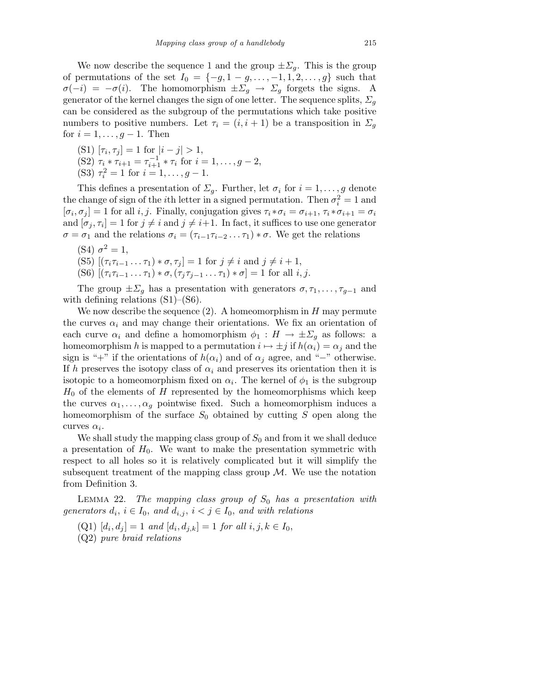We now describe the sequence 1 and the group  $\pm \Sigma_q$ . This is the group of permutations of the set  $I_0 = \{-g, 1 - g, \ldots, -1, 1, 2, \ldots, g\}$  such that  $\sigma(-i) = -\sigma(i)$ . The homomorphism  $\pm \Sigma_q \rightarrow \Sigma_q$  forgets the signs. A generator of the kernel changes the sign of one letter. The sequence splits,  $\Sigma_q$ can be considered as the subgroup of the permutations which take positive numbers to positive numbers. Let  $\tau_i = (i, i + 1)$  be a transposition in  $\Sigma_q$ for  $i = 1, \ldots, g - 1$ . Then

- (S1)  $[\tau_i, \tau_j] = 1$  for  $|i j| > 1$ , (S2)  $\tau_i * \tau_{i+1} = \tau_{i+1}^{-1} * \tau_i$  for  $i = 1, ..., g - 2$ ,
- (S3)  $\tau_i^2 = 1$  for  $i = 1, \ldots, g 1$ .

This defines a presentation of  $\Sigma_g$ . Further, let  $\sigma_i$  for  $i = 1, \ldots, g$  denote the change of sign of the *i*<sup>th</sup> letter in a signed permutation. Then  $\sigma_i^2 = 1$  and  $[\sigma_i, \sigma_j] = 1$  for all i, j. Finally, conjugation gives  $\tau_i * \sigma_i = \sigma_{i+1}, \tau_i * \sigma_{i+1} = \sigma_i$ and  $[\sigma_j, \tau_i] = 1$  for  $j \neq i$  and  $j \neq i+1$ . In fact, it suffices to use one generator  $\sigma = \sigma_1$  and the relations  $\sigma_i = (\tau_{i-1}\tau_{i-2}\dots\tau_1)*\sigma$ . We get the relations

(S4)  $\sigma^2 = 1$ , (S5)  $[(\tau_i \tau_{i-1} \dots \tau_1) * \sigma, \tau_i] = 1$  for  $j \neq i$  and  $j \neq i+1$ , (S6)  $[(\tau_i \tau_{i-1} \dots \tau_1) * \sigma, (\tau_j \tau_{j-1} \dots \tau_1) * \sigma] = 1$  for all  $i, j$ .

The group  $\pm \Sigma_q$  has a presentation with generators  $\sigma, \tau_1, \ldots, \tau_{q-1}$  and with defining relations  $(S1)$ – $(S6)$ .

We now describe the sequence  $(2)$ . A homeomorphism in H may permute the curves  $\alpha_i$  and may change their orientations. We fix an orientation of each curve  $\alpha_i$  and define a homomorphism  $\phi_1 : H \to \pm \Sigma_g$  as follows: a homeomorphism h is mapped to a permutation  $i \mapsto \pm j$  if  $h(\alpha_i) = \alpha_j$  and the sign is "+" if the orientations of  $h(\alpha_i)$  and of  $\alpha_j$  agree, and "−" otherwise. If h preserves the isotopy class of  $\alpha_i$  and preserves its orientation then it is isotopic to a homeomorphism fixed on  $\alpha_i$ . The kernel of  $\phi_1$  is the subgroup  $H_0$  of the elements of H represented by the homeomorphisms which keep the curves  $\alpha_1, \ldots, \alpha_g$  pointwise fixed. Such a homeomorphism induces a homeomorphism of the surface  $S_0$  obtained by cutting S open along the curves  $\alpha_i$ .

We shall study the mapping class group of  $S_0$  and from it we shall deduce a presentation of  $H_0$ . We want to make the presentation symmetric with respect to all holes so it is relatively complicated but it will simplify the subsequent treatment of the mapping class group  $M$ . We use the notation from Definition 3.

LEMMA 22. The mapping class group of  $S_0$  has a presentation with generators  $d_i$ ,  $i \in I_0$ , and  $d_{i,j}$ ,  $i < j \in I_0$ , and with relations

- $(Q1)$   $[d_i, d_j] = 1$  and  $[d_i, d_{j,k}] = 1$  for all  $i, j, k \in I_0$ ,
- (Q2) pure braid relations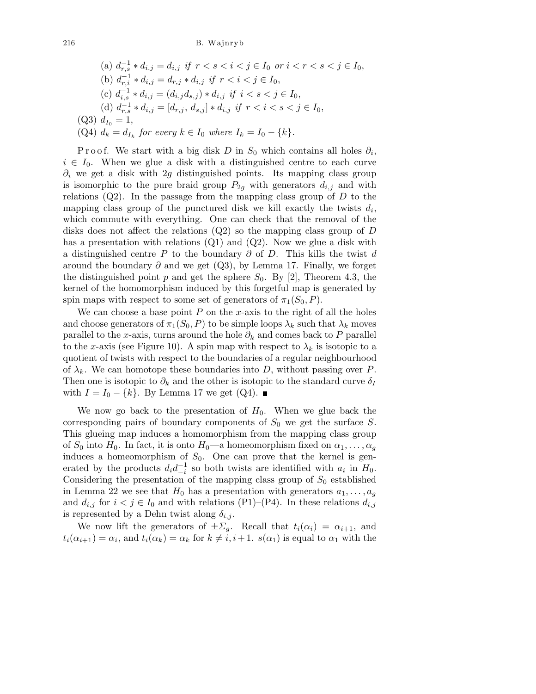(a) 
$$
d_{r,s}^{-1} * d_{i,j} = d_{i,j}
$$
 if  $r < s < i < j \in I_0$  or  $i < r < s < j \in I_0$ ,  
\n(b)  $d_{r,i}^{-1} * d_{i,j} = d_{r,j} * d_{i,j}$  if  $r < i < j \in I_0$ ,  
\n(c)  $d_{i,s}^{-1} * d_{i,j} = (d_{i,j}d_{s,j}) * d_{i,j}$  if  $i < s < j \in I_0$ ,  
\n(d)  $d_{r,s}^{-1} * d_{i,j} = [d_{r,j}, d_{s,j}] * d_{i,j}$  if  $r < i < s < j \in I_0$ ,  
\n(Q3)  $d_{I_0} = 1$ ,  
\n(Q4)  $d_k = d_{I_k}$  for every  $k \in I_0$  where  $I_k = I_0 - \{k\}$ .

P r o o f. We start with a big disk D in  $S_0$  which contains all holes  $\partial_i$ ,  $i \in I_0$ . When we glue a disk with a distinguished centre to each curve  $\partial_i$  we get a disk with 2g distinguished points. Its mapping class group is isomorphic to the pure braid group  $P_{2g}$  with generators  $d_{i,j}$  and with relations  $(Q2)$ . In the passage from the mapping class group of  $D$  to the mapping class group of the punctured disk we kill exactly the twists  $d_i$ , which commute with everything. One can check that the removal of the disks does not affect the relations (Q2) so the mapping class group of D has a presentation with relations  $(Q1)$  and  $(Q2)$ . Now we glue a disk with a distinguished centre P to the boundary  $\partial$  of D. This kills the twist d around the boundary  $\partial$  and we get (Q3), by Lemma 17. Finally, we forget the distinguished point p and get the sphere  $S_0$ . By [2], Theorem 4.3, the kernel of the homomorphism induced by this forgetful map is generated by spin maps with respect to some set of generators of  $\pi_1(S_0, P)$ .

We can choose a base point  $P$  on the x-axis to the right of all the holes and choose generators of  $\pi_1(S_0, P)$  to be simple loops  $\lambda_k$  such that  $\lambda_k$  moves parallel to the x-axis, turns around the hole  $\partial_k$  and comes back to P parallel to the x-axis (see Figure 10). A spin map with respect to  $\lambda_k$  is isotopic to a quotient of twists with respect to the boundaries of a regular neighbourhood of  $\lambda_k$ . We can homotope these boundaries into D, without passing over P. Then one is isotopic to  $\partial_k$  and the other is isotopic to the standard curve  $\delta_I$ with  $I = I_0 - \{k\}$ . By Lemma 17 we get (Q4). ■

We now go back to the presentation of  $H_0$ . When we glue back the corresponding pairs of boundary components of  $S_0$  we get the surface S. This glueing map induces a homomorphism from the mapping class group of  $S_0$  into  $H_0$ . In fact, it is onto  $H_0$ —a homeomorphism fixed on  $\alpha_1, \ldots, \alpha_g$ induces a homeomorphism of  $S_0$ . One can prove that the kernel is generated by the products  $d_i d_{-i}^{-1}$  so both twists are identified with  $a_i$  in  $H_0$ . Considering the presentation of the mapping class group of  $S_0$  established in Lemma 22 we see that  $H_0$  has a presentation with generators  $a_1, \ldots, a_g$ and  $d_{i,j}$  for  $i < j \in I_0$  and with relations (P1)–(P4). In these relations  $d_{i,j}$ is represented by a Dehn twist along  $\delta_{i,j}$ .

We now lift the generators of  $\pm \Sigma_q$ . Recall that  $t_i(\alpha_i) = \alpha_{i+1}$ , and  $t_i(\alpha_{i+1}) = \alpha_i$ , and  $t_i(\alpha_k) = \alpha_k$  for  $k \neq i, i+1$ .  $s(\alpha_1)$  is equal to  $\alpha_1$  with the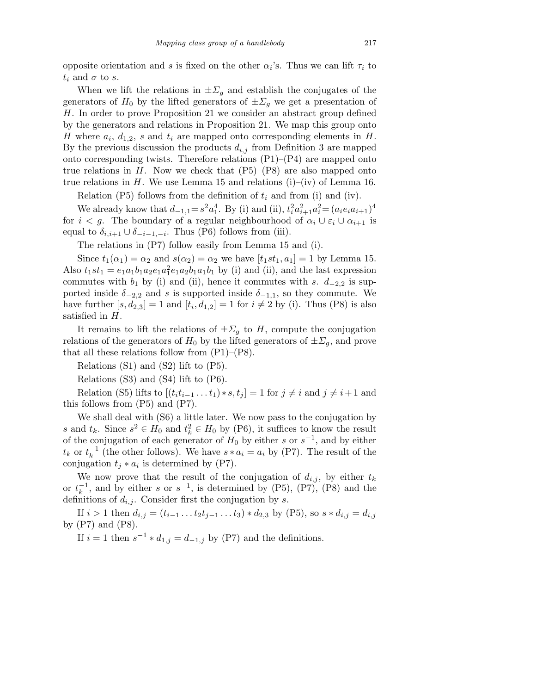opposite orientation and s is fixed on the other  $\alpha_i$ 's. Thus we can lift  $\tau_i$  to  $t_i$  and  $\sigma$  to s.

When we lift the relations in  $\pm \Sigma_g$  and establish the conjugates of the generators of  $H_0$  by the lifted generators of  $\pm \Sigma_g$  we get a presentation of H. In order to prove Proposition 21 we consider an abstract group defined by the generators and relations in Proposition 21. We map this group onto H where  $a_i$ ,  $d_{1,2}$ , s and  $t_i$  are mapped onto corresponding elements in H. By the previous discussion the products  $d_{i,j}$  from Definition 3 are mapped onto corresponding twists. Therefore relations  $(P1)$ – $(P4)$  are mapped onto true relations in H. Now we check that  $(P5)$ – $(P8)$  are also mapped onto true relations in H. We use Lemma 15 and relations (i)–(iv) of Lemma 16.

Relation (P5) follows from the definition of  $t_i$  and from (i) and (iv).

We already know that  $d_{-1,1} = s^2 a_1^4$ . By (i) and (ii),  $t_i^2 a_{i+1}^2 a_i^2 = (a_i e_i a_{i+1})^4$ for  $i < g$ . The boundary of a regular neighbourhood of  $\alpha_i \cup \varepsilon_i \cup \alpha_{i+1}$  is equal to  $\delta_{i,i+1} \cup \delta_{-i-1,-i}$ . Thus (P6) follows from (iii).

The relations in (P7) follow easily from Lemma 15 and (i).

Since  $t_1(\alpha_1) = \alpha_2$  and  $s(\alpha_2) = \alpha_2$  we have  $[t_1, t_1, a_1] = 1$  by Lemma 15. Also  $t_1$ st<sub>1</sub> =  $e_1a_1b_1a_2e_1a_1a_1e_1a_2b_1a_1b_1$  by (i) and (ii), and the last expression commutes with  $b_1$  by (i) and (ii), hence it commutes with s.  $d_{-2,2}$  is supported inside  $\delta_{-2,2}$  and s is supported inside  $\delta_{-1,1}$ , so they commute. We have further  $[s, d_{2,3}] = 1$  and  $[t_i, d_{1,2}] = 1$  for  $i \neq 2$  by (i). Thus (P8) is also satisfied in H.

It remains to lift the relations of  $\pm \Sigma_q$  to H, compute the conjugation relations of the generators of  $H_0$  by the lifted generators of  $\pm \Sigma_g$ , and prove that all these relations follow from  $(P1)$ – $(P8)$ .

Relations (S1) and (S2) lift to (P5).

Relations (S3) and (S4) lift to (P6).

Relation (S5) lifts to  $[(t<sub>i</sub>t<sub>i-1</sub> ... t<sub>1</sub>) * s, t<sub>j</sub>] = 1$  for  $j \neq i$  and  $j \neq i+1$  and this follows from (P5) and (P7).

We shall deal with (S6) a little later. We now pass to the conjugation by s and  $t_k$ . Since  $s^2 \in H_0$  and  $t_k^2 \in H_0$  by (P6), it suffices to know the result of the conjugation of each generator of  $H_0$  by either s or  $s^{-1}$ , and by either  $t_k$  or  $t_k^{-1}$  (the other follows). We have  $s * a_i = a_i$  by (P7). The result of the conjugation  $t_j * a_i$  is determined by (P7).

We now prove that the result of the conjugation of  $d_{i,j}$ , by either  $t_k$ or  $t_k^{-1}$ , and by either s or  $s^{-1}$ , is determined by (P5), (P7), (P8) and the definitions of  $d_{i,j}$ . Consider first the conjugation by s.

If  $i > 1$  then  $d_{i,j} = (t_{i-1} \ldots t_2 t_{j-1} \ldots t_3) * d_{2,3}$  by (P5), so  $s * d_{i,j} = d_{i,j}$ by  $(P7)$  and  $(P8)$ .

If  $i = 1$  then  $s^{-1} * d_{1,j} = d_{-1,j}$  by (P7) and the definitions.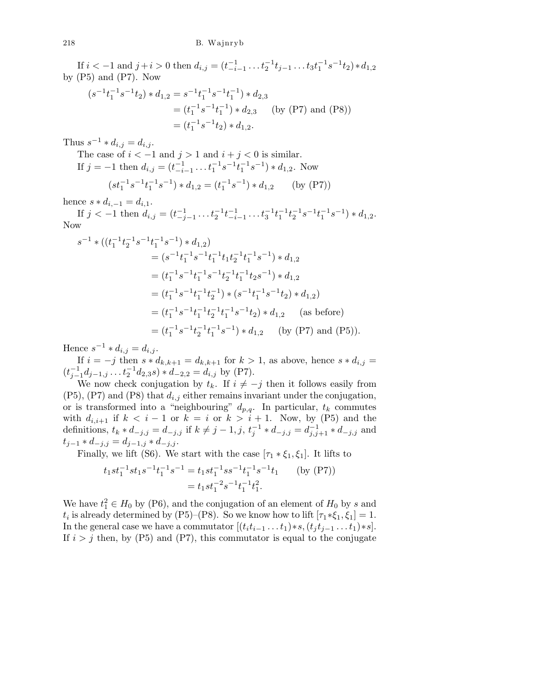If  $i < -1$  and  $j + i > 0$  then  $d_{i,j} = (t_{i-1}^{-1} \dots t_2^{-1} t_{j-1} \dots t_3 t_1^{-1} s^{-1} t_2) * d_{1,2}$ by  $(P5)$  and  $(P7)$ . Now

$$
(s^{-1}t_1^{-1}s^{-1}t_2) * d_{1,2} = s^{-1}t_1^{-1}s^{-1}t_1^{-1}) * d_{2,3}
$$
  
=  $(t_1^{-1}s^{-1}t_1^{-1}) * d_{2,3}$  (by (P7) and (P8))  
=  $(t_1^{-1}s^{-1}t_2) * d_{1,2}$ .

Thus  $s^{-1} * d_{i,j} = d_{i,j}$ .

The case of  $i < -1$  and  $j > 1$  and  $i + j < 0$  is similar. If  $j = -1$  then  $d_{i,j} = (t_{-i-1}^{-1} \dots t_1^{-1} s^{-1} t_1^{-1} s^{-1}) * d_{1,2}$ . Now

$$
(st_1^{-1}s^{-1}t_1^{-1}s^{-1}) * d_{1,2} = (t_1^{-1}s^{-1}) * d_{1,2} \qquad \text{(by (P7))}
$$

hence  $s * d_{i,-1} = d_{i,1}$ .

If  $j < -1$  then  $d_{i,j} = (t_{-j-1}^{-1} \dots t_2^{-1} t_{-i-1}^{-1} \dots t_3^{-1} t_1^{-1} t_2^{-1} s^{-1} t_1^{-1} s^{-1}) * d_{1,2}$ . Now

$$
s^{-1} * ((t_1^{-1}t_2^{-1}s^{-1}t_1^{-1}s^{-1}) * d_{1,2})
$$
  
=  $(s^{-1}t_1^{-1}s^{-1}t_1^{-1}t_1t_2^{-1}t_1^{-1}s^{-1}) * d_{1,2}$   
=  $(t_1^{-1}s^{-1}t_1^{-1}s^{-1}t_2^{-1}t_1^{-1}t_2s^{-1}) * d_{1,2}$   
=  $(t_1^{-1}s^{-1}t_1^{-1}t_2^{-1}) * (s^{-1}t_1^{-1}s^{-1}t_2) * d_{1,2}$   
=  $(t_1^{-1}s^{-1}t_1^{-1}t_2^{-1}t_1^{-1}s^{-1}t_2) * d_{1,2}$  (as before)  
=  $(t_1^{-1}s^{-1}t_2^{-1}t_1^{-1}s^{-1}) * d_{1,2}$  (by (P7) and (P5)).

Hence  $s^{-1} * d_{i,j} = d_{i,j}$ .

If  $i = -j$  then  $s * d_{k,k+1} = d_{k,k+1}$  for  $k > 1$ , as above, hence  $s * d_{i,j} =$  $(t_{j-1}^{-1}d_{j-1,j}\ldots t_2^{-1}d_{2,3}s)*d_{-2,2}=d_{i,j}$  by (P7).

We now check conjugation by  $t_k$ . If  $i \neq -j$  then it follows easily from  $(P5)$ ,  $(P7)$  and  $(P8)$  that  $d_{i,j}$  either remains invariant under the conjugation, or is transformed into a "neighbouring"  $d_{p,q}$ . In particular,  $t_k$  commutes with  $d_{i,i+1}$  if  $k < i-1$  or  $k = i$  or  $k > i+1$ . Now, by (P5) and the definitions,  $t_k * d_{-j,j} = d_{-j,j}$  if  $k \neq j-1, j$ ,  $t_j^{-1} * d_{-j,j} = d_{j,j+1}^{-1} * d_{-j,j}$  and  $t_{j-1} * d_{-j,j} = d_{j-1,j} * d_{-j,j}.$ 

Finally, we lift (S6). We start with the case  $[\tau_1 * \xi_1, \xi_1]$ . It lifts to

$$
t_1st_1^{-1}st_1s^{-1}t_1^{-1}s^{-1} = t_1st_1^{-1}ss^{-1}t_1^{-1}s^{-1}t_1 \qquad \text{(by (P7))}
$$

$$
= t_1st_1^{-2}s^{-1}t_1^{-1}t_1^2.
$$

We have  $t_1^2 \in H_0$  by (P6), and the conjugation of an element of  $H_0$  by s and  $t_i$  is already determined by (P5)–(P8). So we know how to lift  $[\tau_1 * \xi_1, \xi_1] = 1$ . In the general case we have a commutator  $[(t<sub>i</sub>t<sub>i-1</sub> ... t<sub>1</sub>)<sup>*</sup> s, (t<sub>i</sub>t<sub>i-1</sub> ... t<sub>1</sub>)<sup>*</sup> s].$ If  $i > j$  then, by (P5) and (P7), this commutator is equal to the conjugate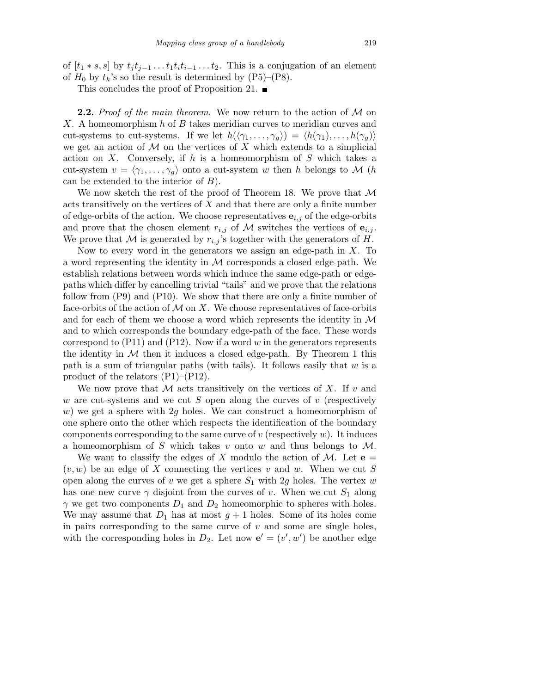of  $[t_1 * s, s]$  by  $t_j t_{j-1} \ldots t_1 t_i t_{i-1} \ldots t_2$ . This is a conjugation of an element of  $H_0$  by  $t_k$ 's so the result is determined by  $(P5)$ – $(P8)$ .

This concludes the proof of Proposition 21.  $\blacksquare$ 

**2.2.** Proof of the main theorem. We now return to the action of  $M$  on X. A homeomorphism h of B takes meridian curves to meridian curves and cut-systems to cut-systems. If we let  $h(\langle \gamma_1, \ldots, \gamma_g \rangle) = \langle h(\gamma_1), \ldots, h(\gamma_g) \rangle$ we get an action of  $M$  on the vertices of X which extends to a simplicial action on X. Conversely, if h is a homeomorphism of S which takes a cut-system  $v = \langle \gamma_1, \ldots, \gamma_g \rangle$  onto a cut-system w then h belongs to M (h can be extended to the interior of  $B$ ).

We now sketch the rest of the proof of Theorem 18. We prove that  $M$ acts transitively on the vertices of X and that there are only a finite number of edge-orbits of the action. We choose representatives  $e_{i,j}$  of the edge-orbits and prove that the chosen element  $r_{i,j}$  of M switches the vertices of  $e_{i,j}$ . We prove that M is generated by  $r_{i,j}$ 's together with the generators of H.

Now to every word in the generators we assign an edge-path in  $X$ . To a word representing the identity in  $M$  corresponds a closed edge-path. We establish relations between words which induce the same edge-path or edgepaths which differ by cancelling trivial "tails" and we prove that the relations follow from (P9) and (P10). We show that there are only a finite number of face-orbits of the action of  $M$  on  $X$ . We choose representatives of face-orbits and for each of them we choose a word which represents the identity in  $\mathcal M$ and to which corresponds the boundary edge-path of the face. These words correspond to  $(P11)$  and  $(P12)$ . Now if a word w in the generators represents the identity in  $M$  then it induces a closed edge-path. By Theorem 1 this path is a sum of triangular paths (with tails). It follows easily that  $w$  is a product of the relators (P1)–(P12).

We now prove that M acts transitively on the vertices of X. If v and w are cut-systems and we cut S open along the curves of  $v$  (respectively w) we get a sphere with 2g holes. We can construct a homeomorphism of one sphere onto the other which respects the identification of the boundary components corresponding to the same curve of  $v$  (respectively  $w$ ). It induces a homeomorphism of S which takes v onto w and thus belongs to  $\mathcal{M}$ .

We want to classify the edges of X modulo the action of M. Let  $e =$  $(v, w)$  be an edge of X connecting the vertices v and w. When we cut S open along the curves of v we get a sphere  $S_1$  with 2g holes. The vertex w has one new curve  $\gamma$  disjoint from the curves of v. When we cut  $S_1$  along  $\gamma$  we get two components  $D_1$  and  $D_2$  homeomorphic to spheres with holes. We may assume that  $D_1$  has at most  $g + 1$  holes. Some of its holes come in pairs corresponding to the same curve of  $v$  and some are single holes, with the corresponding holes in  $D_2$ . Let now  $\mathbf{e}' = (v', w')$  be another edge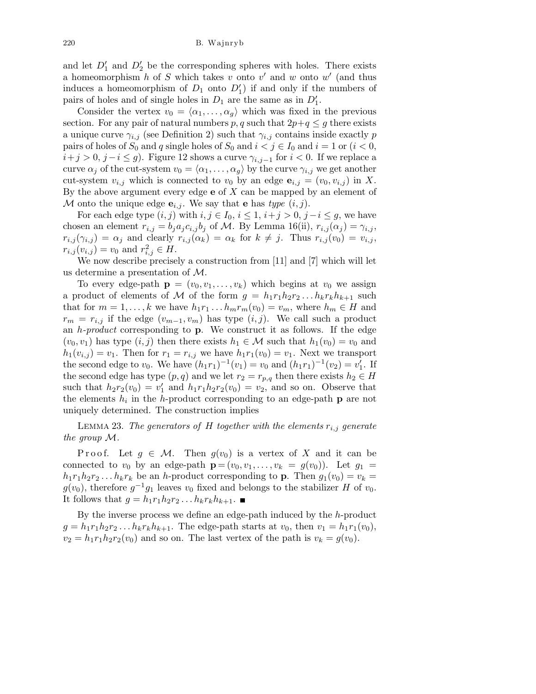and let  $D'_1$  and  $D'_2$  be the corresponding spheres with holes. There exists a homeomorphism h of S which takes v onto v' and w onto  $w'$  (and thus induces a homeomorphism of  $D_1$  onto  $D'_1$ ) if and only if the numbers of pairs of holes and of single holes in  $D_1$  are the same as in  $D'_1$ .

Consider the vertex  $v_0 = \langle \alpha_1, \ldots, \alpha_q \rangle$  which was fixed in the previous section. For any pair of natural numbers p, q such that  $2p+q \leq g$  there exists a unique curve  $\gamma_{i,j}$  (see Definition 2) such that  $\gamma_{i,j}$  contains inside exactly p pairs of holes of  $S_0$  and q single holes of  $S_0$  and  $i < j \in I_0$  and  $i = 1$  or  $(i < 0,$  $i+j > 0, j-i \leq g$ . Figure 12 shows a curve  $\gamma_{i,j-1}$  for  $i < 0$ . If we replace a curve  $\alpha_j$  of the cut-system  $v_0 = \langle \alpha_1, \ldots, \alpha_q \rangle$  by the curve  $\gamma_{i,j}$  we get another cut-system  $v_{i,j}$  which is connected to  $v_0$  by an edge  $\mathbf{e}_{i,j} = (v_0, v_{i,j})$  in X. By the above argument every edge  $e$  of  $X$  can be mapped by an element of M onto the unique edge  $\mathbf{e}_{i,j}$ . We say that **e** has type  $(i, j)$ .

For each edge type  $(i, j)$  with  $i, j \in I_0, i \leq 1, i+j > 0, j-i \leq g$ , we have chosen an element  $r_{i,j} = b_j a_j c_{i,j} b_j$  of M. By Lemma 16(ii),  $r_{i,j}(\alpha_j) = \gamma_{i,j}$ ,  $r_{i,j}(\gamma_{i,j}) = \alpha_j$  and clearly  $r_{i,j}(\alpha_k) = \alpha_k$  for  $k \neq j$ . Thus  $r_{i,j}(v_0) = v_{i,j}$ ,  $r_{i,j}(v_{i,j}) = v_0$  and  $r_{i,j}^2 \in H$ .

We now describe precisely a construction from [11] and [7] which will let us determine a presentation of M.

To every edge-path  $\mathbf{p} = (v_0, v_1, \dots, v_k)$  which begins at  $v_0$  we assign a product of elements of M of the form  $g = h_1r_1h_2r_2 \dots h_kr_kh_{k+1}$  such that for  $m = 1, ..., k$  we have  $h_1r_1...h_mr_m(v_0) = v_m$ , where  $h_m \in H$  and  $r_m = r_{i,j}$  if the edge  $(v_{m-1}, v_m)$  has type  $(i,j)$ . We call such a product an  $h$ -product corresponding to  $p$ . We construct it as follows. If the edge  $(v_0, v_1)$  has type  $(i, j)$  then there exists  $h_1 \in \mathcal{M}$  such that  $h_1(v_0) = v_0$  and  $h_1(v_{i,j}) = v_1$ . Then for  $r_1 = r_{i,j}$  we have  $h_1r_1(v_0) = v_1$ . Next we transport the second edge to  $v_0$ . We have  $(h_1r_1)^{-1}(v_1) = v_0$  and  $(h_1r_1)^{-1}(v_2) = v'_1$ . If the second edge has type  $(p, q)$  and we let  $r_2 = r_{p,q}$  then there exists  $h_2 \in H$ such that  $h_2r_2(v_0) = v'_1$  and  $h_1r_1h_2r_2(v_0) = v_2$ , and so on. Observe that the elements  $h_i$  in the h-product corresponding to an edge-path **p** are not uniquely determined. The construction implies

LEMMA 23. The generators of H together with the elements  $r_{i,j}$  generate the group M.

P roof. Let  $g \in \mathcal{M}$ . Then  $g(v_0)$  is a vertex of X and it can be connected to  $v_0$  by an edge-path  $\mathbf{p} = (v_0, v_1, \dots, v_k = g(v_0))$ . Let  $g_1 =$  $h_1r_1h_2r_2...h_kr_k$  be an h-product corresponding to **p**. Then  $g_1(v_0) = v_k =$  $g(v_0)$ , therefore  $g^{-1}g_1$  leaves  $v_0$  fixed and belongs to the stabilizer H of  $v_0$ . It follows that  $g = h_1 r_1 h_2 r_2 \dots h_k r_k h_{k+1}$ .

By the inverse process we define an edge-path induced by the h-product  $g = h_1r_1h_2r_2 \ldots h_kr_kh_{k+1}$ . The edge-path starts at  $v_0$ , then  $v_1 = h_1r_1(v_0)$ ,  $v_2 = h_1 r_1 h_2 r_2(v_0)$  and so on. The last vertex of the path is  $v_k = g(v_0)$ .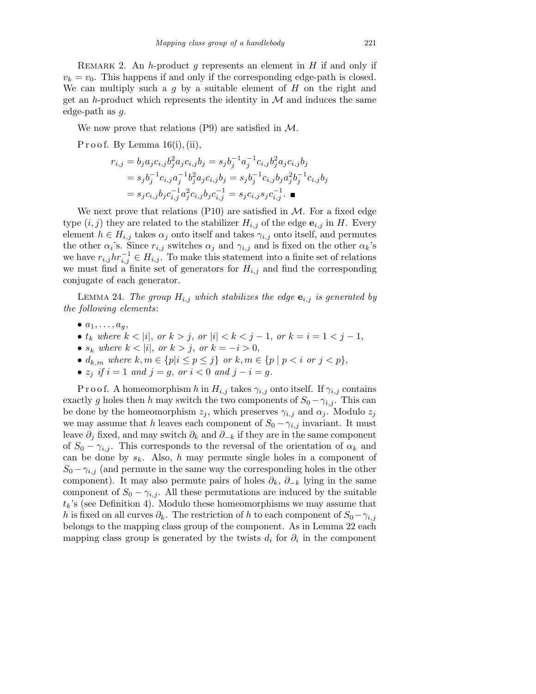REMARK 2. An h-product g represents an element in  $H$  if and only if  $v_k = v_0$ . This happens if and only if the corresponding edge-path is closed. We can multiply such a  $q$  by a suitable element of  $H$  on the right and get an h-product which represents the identity in  $M$  and induces the same edge-path as g.

We now prove that relations  $(P9)$  are satisfied in M.

P r o o f. By Lemma  $16(i)$ , (ii),

$$
r_{i,j} = b_j a_j c_{i,j} b_j^2 a_j c_{i,j} b_j = s_j b_j^{-1} a_j^{-1} c_{i,j} b_j^2 a_j c_{i,j} b_j
$$
  
=  $s_j b_j^{-1} c_{i,j} a_j^{-1} b_j^2 a_j c_{i,j} b_j = s_j b_j^{-1} c_{i,j} b_j a_j^2 b_j^{-1} c_{i,j} b_j$   
=  $s_j c_{i,j} b_j c_{i,j}^{-1} a_j^2 c_{i,j} b_j c_{i,j}^{-1} = s_j c_{i,j} s_j c_{i,j}^{-1}$ .

We next prove that relations  $(P10)$  are satisfied in  $M$ . For a fixed edge type  $(i, j)$  they are related to the stabilizer  $H_{i,j}$  of the edge  $e_{i,j}$  in H. Every element  $h \in H_{i,j}$  takes  $\alpha_j$  onto itself and takes  $\gamma_{i,j}$  onto itself, and permutes the other  $\alpha_i$ 's. Since  $r_{i,j}$  switches  $\alpha_j$  and  $\gamma_{i,j}$  and is fixed on the other  $\alpha_k$ 's we have  $r_{i,j} h r_{i,j}^{-1} \in H_{i,j}$ . To make this statement into a finite set of relations we must find a finite set of generators for  $H_{i,j}$  and find the corresponding conjugate of each generator.

LEMMA 24. The group  $H_{i,j}$  which stabilizes the edge  $\mathbf{e}_{i,j}$  is generated by the following elements:

- $\bullet$   $a_1, \ldots, a_q,$
- $t_k$  where  $k < |i|$ , or  $k > j$ , or  $|i| < k < j 1$ , or  $k = i = 1 < j 1$ ,
- $s_k$  where  $k < |i|$ , or  $k > j$ , or  $k = -i > 0$ ,
- $d_{k,m}$  where  $k, m \in \{p | i \leq p \leq j\}$  or  $k, m \in \{p | p < i \text{ or } j < p\},$
- $z_i$  if  $i = 1$  and  $j = q$ , or  $i < 0$  and  $j i = q$ .

P r o o f. A homeomorphism h in  $H_{i,j}$  takes  $\gamma_{i,j}$  onto itself. If  $\gamma_{i,j}$  contains exactly g holes then h may switch the two components of  $S_0 - \gamma_{i,j}$ . This can be done by the homeomorphism  $z_i$ , which preserves  $\gamma_{i,j}$  and  $\alpha_j$ . Modulo  $z_j$ we may assume that h leaves each component of  $S_0 - \gamma_{i,j}$  invariant. It must leave  $\partial_i$  fixed, and may switch  $\partial_k$  and  $\partial_{-k}$  if they are in the same component of  $S_0 - \gamma_{i,j}$ . This corresponds to the reversal of the orientation of  $\alpha_k$  and can be done by  $s_k$ . Also, h may permute single holes in a component of  $S_0 - \gamma_{i,j}$  (and permute in the same way the corresponding holes in the other component). It may also permute pairs of holes  $\partial_k$ ,  $\partial_{-k}$  lying in the same component of  $S_0 - \gamma_{i,j}$ . All these permutations are induced by the suitable  $t_k$ 's (see Definition 4). Modulo these homeomorphisms we may assume that h is fixed on all curves  $\partial_k$ . The restriction of h to each component of  $S_0-\gamma_{i,j}$ belongs to the mapping class group of the component. As in Lemma 22 each mapping class group is generated by the twists  $d_i$  for  $\partial_i$  in the component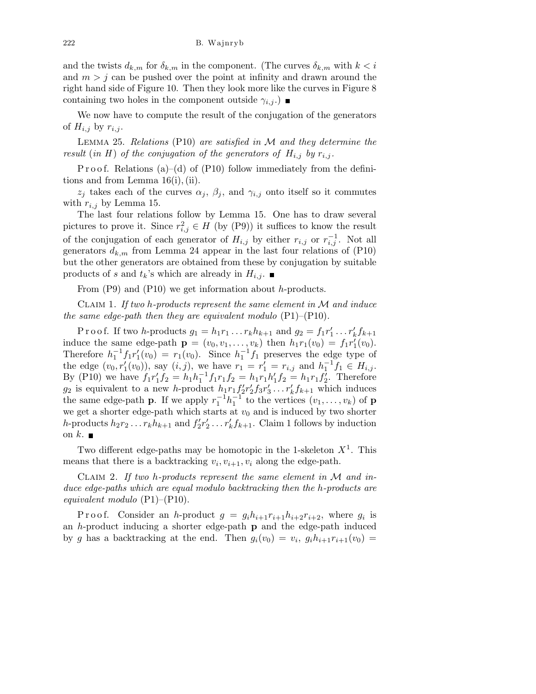and the twists  $d_{k,m}$  for  $\delta_{k,m}$  in the component. (The curves  $\delta_{k,m}$  with  $k < i$ and  $m > j$  can be pushed over the point at infinity and drawn around the right hand side of Figure 10. Then they look more like the curves in Figure 8 containing two holes in the component outside  $\gamma_{i,j}$ .

We now have to compute the result of the conjugation of the generators of  $H_{i,j}$  by  $r_{i,j}$ .

LEMMA 25. Relations (P10) are satisfied in  $M$  and they determine the result (in H) of the conjugation of the generators of  $H_{i,j}$  by  $r_{i,j}$ .

P r o o f. Relations (a)–(d) of (P10) follow immediately from the definitions and from Lemma 16(i), (ii).

 $z_j$  takes each of the curves  $\alpha_j$ ,  $\beta_j$ , and  $\gamma_{i,j}$  onto itself so it commutes with  $r_{i,j}$  by Lemma 15.

The last four relations follow by Lemma 15. One has to draw several pictures to prove it. Since  $r_{i,j}^2 \in H$  (by (P9)) it suffices to know the result of the conjugation of each generator of  $H_{i,j}$  by either  $r_{i,j}$  or  $r_{i,j}^{-1}$ . Not all generators  $d_{k,m}$  from Lemma 24 appear in the last four relations of (P10) but the other generators are obtained from these by conjugation by suitable products of s and  $t_k$ 's which are already in  $H_{i,j}$ .

From (P9) and (P10) we get information about h-products.

CLAIM 1. If two h-products represent the same element in  $\mathcal M$  and induce the same edge-path then they are equivalent modulo  $(P1)$ – $(P10)$ .

P r o o f. If two *h*-products  $g_1 = h_1 r_1 ... r_k h_{k+1}$  and  $g_2 = f_1 r'_1 ... r'_k f_{k+1}$ induce the same edge-path  $\mathbf{p} = (v_0, v_1, \dots, v_k)$  then  $h_1 r_1(v_0) = f_1 r'_1(v_0)$ . Therefore  $h_1^{-1}f_1r'_1(v_0) = r_1(v_0)$ . Since  $h_1^{-1}f_1$  preserves the edge type of the edge  $(v_0, r'_1(v_0))$ , say  $(i, j)$ , we have  $r_1 = r'_1 = r_{i,j}$  and  $h_1^{-1}f_1 \in H_{i,j}$ . By (P10) we have  $f_1r'_1f_2 = h_1h_1^{-1}f_1r_1f_2 = h_1r_1h'_1f_2 = h_1r_1f'_2$ . Therefore  $g_2$  is equivalent to a new h-product  $h_1r_1f'_2r'_2f_3r'_3\ldots r'_kf_{k+1}$  which induces the same edge-path **p**. If we apply  $r_1^{-1}h_1^{-1}$  to the vertices  $(v_1, \ldots, v_k)$  of **p** we get a shorter edge-path which starts at  $v_0$  and is induced by two shorter h-products  $h_2r_2 \ldots r_kh_{k+1}$  and  $f'_2r'_2 \ldots r'_kf_{k+1}$ . Claim 1 follows by induction on k.  $\blacksquare$ 

Two different edge-paths may be homotopic in the 1-skeleton  $X^1$ . This means that there is a backtracking  $v_i, v_{i+1}, v_i$  along the edge-path.

CLAIM 2. If two h-products represent the same element in  $\mathcal M$  and induce edge-paths which are equal modulo backtracking then the h-products are equivalent modulo  $(P1)$ – $(P10)$ .

P r o o f. Consider an h-product  $g = g_i h_{i+1} r_{i+1} h_{i+2} r_{i+2}$ , where  $g_i$  is an  $h$ -product inducing a shorter edge-path  $p$  and the edge-path induced by g has a backtracking at the end. Then  $g_i(v_0) = v_i, g_i h_{i+1} r_{i+1}(v_0) =$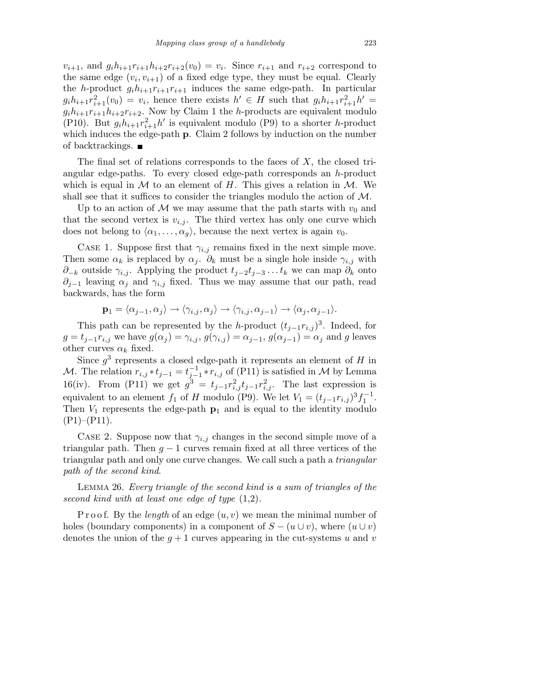$v_{i+1}$ , and  $g_i h_{i+1} r_{i+1} h_{i+2} r_{i+2} (v_0) = v_i$ . Since  $r_{i+1}$  and  $r_{i+2}$  correspond to the same edge  $(v_i, v_{i+1})$  of a fixed edge type, they must be equal. Clearly the h-product  $g_i h_{i+1} r_{i+1} r_{i+1}$  induces the same edge-path. In particular  $g_i h_{i+1} r_{i+1}^2(v_0) = v_i$ , hence there exists  $h' \in H$  such that  $g_i h_{i+1} r_{i+1}^2 h' =$  $g_i h_{i+1} r_{i+1} h_{i+2} r_{i+2}$ . Now by Claim 1 the *h*-products are equivalent modulo (P10). But  $g_i h_{i+1} r_{i+1}^2 h'$  is equivalent modulo (P9) to a shorter h-product which induces the edge-path p. Claim 2 follows by induction on the number of backtrackings.  $\blacksquare$ 

The final set of relations corresponds to the faces of  $X$ , the closed triangular edge-paths. To every closed edge-path corresponds an h-product which is equal in  $M$  to an element of  $H$ . This gives a relation in  $M$ . We shall see that it suffices to consider the triangles modulo the action of  $\mathcal{M}$ .

Up to an action of  $\mathcal M$  we may assume that the path starts with  $v_0$  and that the second vertex is  $v_{i,j}$ . The third vertex has only one curve which does not belong to  $\langle \alpha_1, \ldots, \alpha_q \rangle$ , because the next vertex is again  $v_0$ .

CASE 1. Suppose first that  $\gamma_{i,j}$  remains fixed in the next simple move. Then some  $\alpha_k$  is replaced by  $\alpha_j$ .  $\partial_k$  must be a single hole inside  $\gamma_{i,j}$  with  $\partial_{-k}$  outside  $\gamma_{i,j}$ . Applying the product  $t_{j-2}t_{j-3} \ldots t_k$  we can map  $\partial_k$  onto  $\partial_{j-1}$  leaving  $\alpha_j$  and  $\gamma_{i,j}$  fixed. Thus we may assume that our path, read backwards, has the form

$$
\mathbf{p}_1 = \langle \alpha_{j-1}, \alpha_j \rangle \rightarrow \langle \gamma_{i,j}, \alpha_j \rangle \rightarrow \langle \gamma_{i,j}, \alpha_{j-1} \rangle \rightarrow \langle \alpha_j, \alpha_{j-1} \rangle.
$$

This path can be represented by the h-product  $(t_{j-1}r_{i,j})^3$ . Indeed, for  $g = t_{j-1}r_{i,j}$  we have  $g(\alpha_j) = \gamma_{i,j}, g(\gamma_{i,j}) = \alpha_{j-1}, g(\alpha_{j-1}) = \alpha_j$  and g leaves other curves  $\alpha_k$  fixed.

Since  $g^3$  represents a closed edge-path it represents an element of H in M. The relation  $r_{i,j} * t_{j-1} = t_{j-1}^{-1} * r_{i,j}$  of (P11) is satisfied in M by Lemma 16(iv). From (P11) we get  $g^3 = t_{j-1}r_{i,j}^2t_{j-1}r_{i,j}^2$ . The last expression is equivalent to an element  $f_1$  of H modulo (P9). We let  $V_1 = (t_{j-1}r_{i,j})^3 f_1^{-1}$ . Then  $V_1$  represents the edge-path  $p_1$  and is equal to the identity modulo  $(P1)$ – $(P11)$ .

CASE 2. Suppose now that  $\gamma_{i,j}$  changes in the second simple move of a triangular path. Then  $g - 1$  curves remain fixed at all three vertices of the triangular path and only one curve changes. We call such a path a triangular path of the second kind.

Lemma 26. Every triangle of the second kind is a sum of triangles of the second kind with at least one edge of type (1,2).

P r o o f. By the *length* of an edge  $(u, v)$  we mean the minimal number of holes (boundary components) in a component of  $S - (u \cup v)$ , where  $(u \cup v)$ denotes the union of the  $q+1$  curves appearing in the cut-systems u and v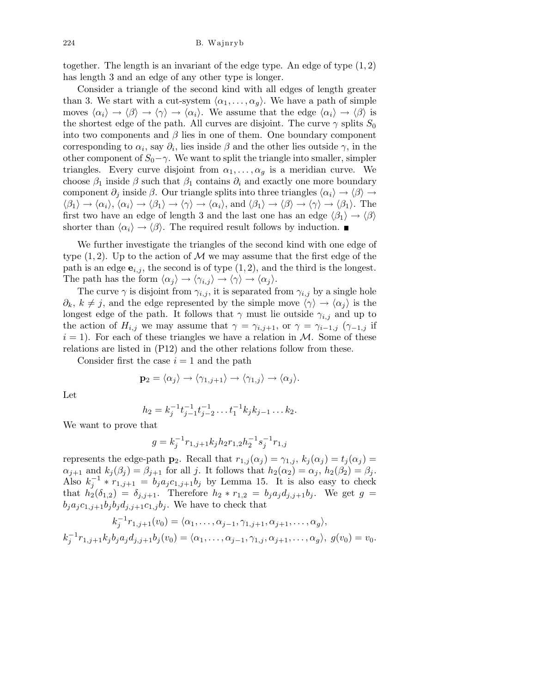together. The length is an invariant of the edge type. An edge of type  $(1, 2)$ has length 3 and an edge of any other type is longer.

Consider a triangle of the second kind with all edges of length greater than 3. We start with a cut-system  $\langle \alpha_1, \ldots, \alpha_q \rangle$ . We have a path of simple moves  $\langle \alpha_i \rangle \rightarrow \langle \beta \rangle \rightarrow \langle \gamma \rangle \rightarrow \langle \alpha_i \rangle$ . We assume that the edge  $\langle \alpha_i \rangle \rightarrow \langle \beta \rangle$  is the shortest edge of the path. All curves are disjoint. The curve  $\gamma$  splits  $S_0$ into two components and  $\beta$  lies in one of them. One boundary component corresponding to  $\alpha_i$ , say  $\partial_i$ , lies inside  $\beta$  and the other lies outside  $\gamma$ , in the other component of  $S_0$  – $\gamma$ . We want to split the triangle into smaller, simpler triangles. Every curve disjoint from  $\alpha_1, \ldots, \alpha_q$  is a meridian curve. We choose  $\beta_1$  inside  $\beta$  such that  $\beta_1$  contains  $\partial_i$  and exactly one more boundary component  $\partial_i$  inside  $\beta$ . Our triangle splits into three triangles  $\langle \alpha_i \rangle \rightarrow \langle \beta \rangle \rightarrow$  $\langle \beta_1 \rangle \rightarrow \langle \alpha_i \rangle, \langle \alpha_i \rangle \rightarrow \langle \beta_1 \rangle \rightarrow \langle \gamma \rangle \rightarrow \langle \alpha_i \rangle, \text{ and } \langle \beta_1 \rangle \rightarrow \langle \beta \rangle \rightarrow \langle \gamma \rangle \rightarrow \langle \beta_1 \rangle.$  The first two have an edge of length 3 and the last one has an edge  $\langle \beta_1 \rangle \rightarrow \langle \beta \rangle$ shorter than  $\langle \alpha_i \rangle \rightarrow \langle \beta \rangle$ . The required result follows by induction.

We further investigate the triangles of the second kind with one edge of type  $(1, 2)$ . Up to the action of M we may assume that the first edge of the path is an edge  $e_{i,j}$ , the second is of type  $(1, 2)$ , and the third is the longest. The path has the form  $\langle \alpha_j \rangle \rightarrow \langle \gamma_{i,j} \rangle \rightarrow \langle \gamma \rangle \rightarrow \langle \alpha_j \rangle$ .

The curve  $\gamma$  is disjoint from  $\gamma_{i,j}$ , it is separated from  $\gamma_{i,j}$  by a single hole  $\partial_k, k \neq j$ , and the edge represented by the simple move  $\langle \gamma \rangle \rightarrow \langle \alpha_j \rangle$  is the longest edge of the path. It follows that  $\gamma$  must lie outside  $\gamma_{i,j}$  and up to the action of  $H_{i,j}$  we may assume that  $\gamma = \gamma_{i,j+1}$ , or  $\gamma = \gamma_{i-1,j}$  ( $\gamma_{-1,j}$  if  $i = 1$ . For each of these triangles we have a relation in M. Some of these relations are listed in (P12) and the other relations follow from these.

Consider first the case  $i = 1$  and the path

$$
\mathbf{p}_2 = \langle \alpha_j \rangle \to \langle \gamma_{1,j+1} \rangle \to \langle \gamma_{1,j} \rangle \to \langle \alpha_j \rangle.
$$

Let

$$
h_2 = k_j^{-1} t_{j-1}^{-1} t_{j-2}^{-1} \dots t_1^{-1} k_j k_{j-1} \dots k_2.
$$

We want to prove that

$$
g = k_j^{-1} r_{1,j+1} k_j h_2 r_{1,2} h_2^{-1} s_j^{-1} r_{1,j}
$$

represents the edge-path  $\mathbf{p}_2$ . Recall that  $r_{1,j}(\alpha_j) = \gamma_{1,j}, k_j(\alpha_j) = t_j(\alpha_j) =$  $\alpha_{j+1}$  and  $k_j(\beta_j) = \beta_{j+1}$  for all j. It follows that  $h_2(\alpha_2) = \alpha_j$ ,  $h_2(\beta_2) = \beta_j$ . Also  $k_j^{-1} * r_{1,j+1} = b_j a_j c_{1,j+1} b_j$  by Lemma 15. It is also easy to check that  $h_2(\delta_{1,2}) = \delta_{j,j+1}$ . Therefore  $h_2 * r_{1,2} = b_j a_j d_{j,j+1} b_j$ . We get  $g =$  $b_j a_j c_{1,j+1} b_j b_j d_{j,j+1} c_{1,j} b_j$ . We have to check that

$$
k_j^{-1}r_{1,j+1}(v_0) = \langle \alpha_1, \dots, \alpha_{j-1}, \gamma_{1,j+1}, \alpha_{j+1}, \dots, \alpha_g \rangle,
$$
  

$$
k_j^{-1}r_{1,j+1}k_jb_ja_jd_{j,j+1}b_j(v_0) = \langle \alpha_1, \dots, \alpha_{j-1}, \gamma_{1,j}, \alpha_{j+1}, \dots, \alpha_g \rangle, \ g(v_0) = v_0.
$$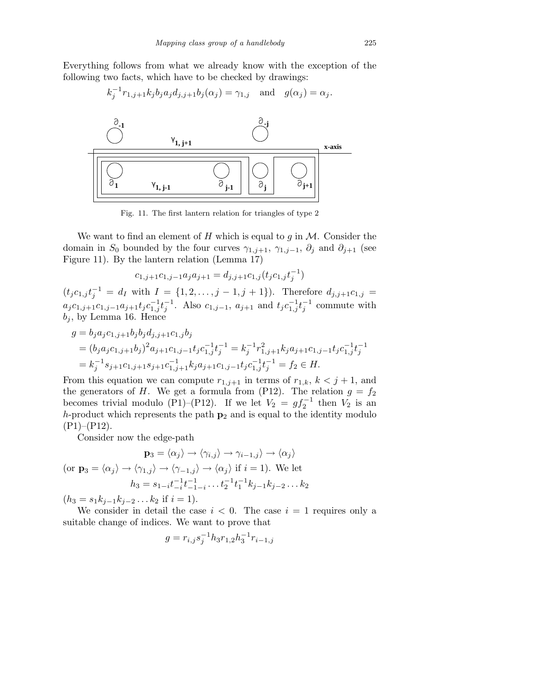Everything follows from what we already know with the exception of the following two facts, which have to be checked by drawings:



Fig. 11. The first lantern relation for triangles of type 2

We want to find an element of H which is equal to g in  $M$ . Consider the domain in  $S_0$  bounded by the four curves  $\gamma_{1,j+1}$ ,  $\gamma_{1,j-1}$ ,  $\partial_j$  and  $\partial_{j+1}$  (see Figure 11). By the lantern relation (Lemma 17)

$$
c_{1,j+1}c_{1,j-1}a_j a_{j+1} = d_{j,j+1}c_{1,j}(t_j c_{1,j} t_j^{-1})
$$

 $(t_j c_{1,j} t_j^{-1} = d_I \text{ with } I = \{1, 2, \ldots, j-1, j+1\}).$  Therefore  $d_{j,j+1} c_{1,j} =$  $a_j c_{1,j+1} c_{1,j-1} a_{j+1} t_j c_{1,j}^{-1} t_j^{-1}$ . Also  $c_{1,j-1}$ ,  $a_{j+1}$  and  $t_j c_{1,j}^{-1} t_j^{-1}$  commute with  $b_j$ , by Lemma 16. Hence

$$
g = b_j a_j c_{1,j+1} b_j b_j d_{j,j+1} c_{1,j} b_j
$$
  
=  $(b_j a_j c_{1,j+1} b_j)^2 a_{j+1} c_{1,j-1} t_j c_{1,j}^{-1} t_j^{-1} = k_j^{-1} r_{1,j+1}^2 k_j a_{j+1} c_{1,j-1} t_j c_{1,j}^{-1} t_j^{-1}$   
=  $k_j^{-1} s_{j+1} c_{1,j+1} s_{j+1} c_{1,j+1}^{-1} k_j a_{j+1} c_{1,j-1} t_j c_{1,j}^{-1} t_j^{-1} = f_2 \in H.$ 

From this equation we can compute  $r_{1,j+1}$  in terms of  $r_{1,k}$ ,  $k < j+1$ , and the generators of H. We get a formula from (P12). The relation  $g = f_2$ becomes trivial modulo (P1)–(P12). If we let  $V_2 = gf_2^{-1}$  then  $V_2$  is an h-product which represents the path  $p_2$  and is equal to the identity modulo  $(P1)$ – $(P12)$ .

Consider now the edge-path

$$
\mathbf{p}_3 = \langle \alpha_j \rangle \to \langle \gamma_{i,j} \rangle \to \gamma_{i-1,j} \rangle \to \langle \alpha_j \rangle
$$
  
(or  $\mathbf{p}_3 = \langle \alpha_j \rangle \to \langle \gamma_{1,j} \rangle \to \langle \gamma_{-1,j} \rangle \to \langle \alpha_j \rangle$  if  $i = 1$ ). We let  

$$
h_3 = s_{1-i} t_{-i}^{-1} t_{-1-i}^{-1} \dots t_2^{-1} t_1^{-1} k_{j-1} k_{j-2} \dots k_2
$$

 $(h_3 = s_1 k_{j-1} k_{j-2} \dots k_2 \text{ if } i = 1).$ 

We consider in detail the case  $i < 0$ . The case  $i = 1$  requires only a suitable change of indices. We want to prove that

$$
g = r_{i,j} s_j^{-1} h_3 r_{1,2} h_3^{-1} r_{i-1,j}
$$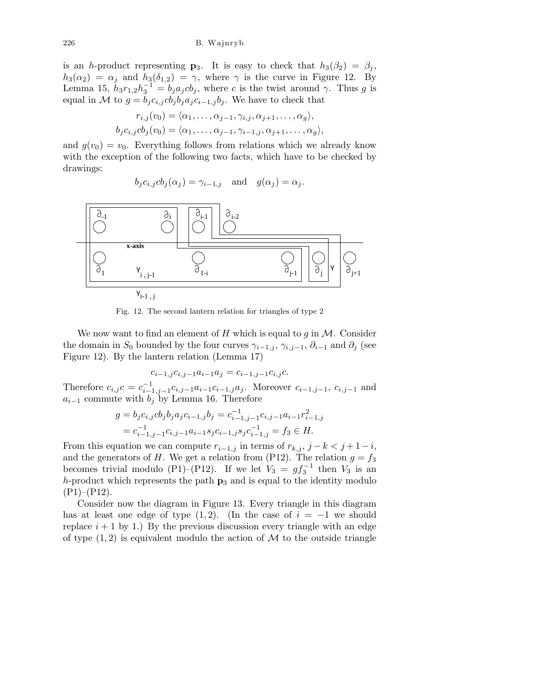is an h-product representing  $\mathbf{p}_3$ . It is easy to check that  $h_3(\beta_2) = \beta_j$ ,  $h_3(\alpha_2) = \alpha_j$  and  $h_3(\delta_{1,2}) = \gamma$ , where  $\gamma$  is the curve in Figure 12. By Lemma 15,  $h_3r_{1,2}h_3^{-1} = b_ja_jcb_j$ , where c is the twist around  $\gamma$ . Thus g is equal in M to  $g = b_j c_{i,j} cb_j b_j a_j c_{i-1,j} b_j$ . We have to check that

$$
r_{i,j}(v_0) = \langle \alpha_1, \dots, \alpha_{j-1}, \gamma_{i,j}, \alpha_{j+1}, \dots, \alpha_g \rangle,
$$
  

$$
b_j c_{i,j} c b_j(v_0) = \langle \alpha_1, \dots, \alpha_{j-1}, \gamma_{i-1,j}, \alpha_{j+1}, \dots, \alpha_g \rangle,
$$

and  $q(v_0) = v_0$ . Everything follows from relations which we already know with the exception of the following two facts, which have to be checked by drawings:

$$
b_j c_{i,j} cb_j(\alpha_j) = \gamma_{i-1,j}
$$
 and  $g(\alpha_j) = \alpha_j$ .



Fig. 12. The second lantern relation for triangles of type 2

We now want to find an element of H which is equal to  $g$  in  $\mathcal M$ . Consider the domain in  $S_0$  bounded by the four curves  $\gamma_{i-1,j}, \gamma_{i,j-1}, \partial_{i-1}$  and  $\partial_j$  (see Figure 12). By the lantern relation (Lemma 17)

$$
c_{i-1,j}c_{i,j-1}a_{i-1}a_j = c_{i-1,j-1}c_{i,j}c.
$$

Therefore  $c_{i,j}c = c_{i-1,j-1}^{-1}c_{i,j-1}a_{i-1}c_{i-1,j}a_j$ . Moreover  $c_{i-1,j-1}$ ,  $c_{i,j-1}$  and  $a_{i-1}$  commute with  $b_j$  by Lemma 16. Therefore

$$
g = b_j c_{i,j} cb_j b_j a_j c_{i-1,j} b_j = c_{i-1,j-1}^{-1} c_{i,j-1} a_{i-1} r_{i-1,j}^2
$$
  
=  $c_{i-1,j-1}^{-1} c_{i,j-1} a_{i-1} s_j c_{i-1,j} s_j c_{i-1,j}^{-1} = f_3 \in H$ .

From this equation we can compute  $r_{i-1,j}$  in terms of  $r_{k,j}$ ,  $j - k < j + 1 - i$ , and the generators of H. We get a relation from (P12). The relation  $g = f_3$ becomes trivial modulo (P1)–(P12). If we let  $V_3 = gf_3^{-1}$  then  $V_3$  is an h-product which represents the path  $p_3$  and is equal to the identity modulo  $(P1)$ – $(P12)$ .

Consider now the diagram in Figure 13. Every triangle in this diagram has at least one edge of type  $(1, 2)$ . (In the case of  $i = -1$  we should replace  $i + 1$  by 1.) By the previous discussion every triangle with an edge of type  $(1, 2)$  is equivalent modulo the action of M to the outside triangle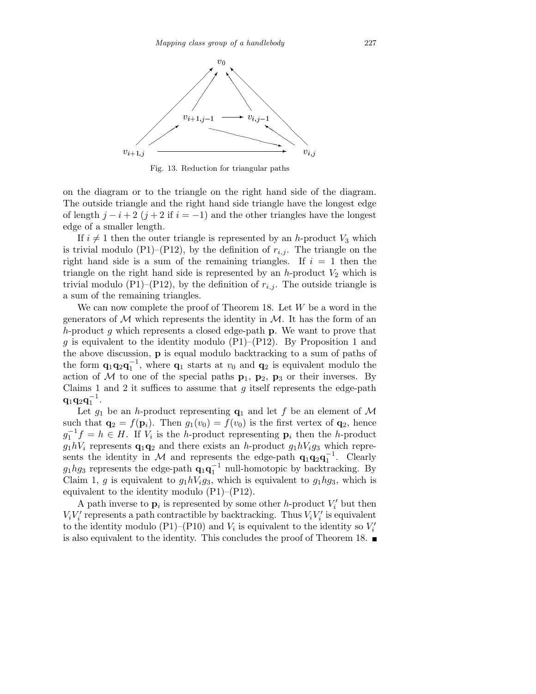

Fig. 13. Reduction for triangular paths

on the diagram or to the triangle on the right hand side of the diagram. The outside triangle and the right hand side triangle have the longest edge of length  $j - i + 2$   $(j + 2$  if  $i = -1$ ) and the other triangles have the longest edge of a smaller length.

If  $i \neq 1$  then the outer triangle is represented by an h-product  $V_3$  which is trivial modulo (P1)–(P12), by the definition of  $r_{i,j}$ . The triangle on the right hand side is a sum of the remaining triangles. If  $i = 1$  then the triangle on the right hand side is represented by an  $h$ -product  $V_2$  which is trivial modulo (P1)–(P12), by the definition of  $r_{i,j}$ . The outside triangle is a sum of the remaining triangles.

We can now complete the proof of Theorem 18. Let  $W$  be a word in the generators of  $\mathcal M$  which represents the identity in  $\mathcal M$ . It has the form of an h-product g which represents a closed edge-path  $\bf{p}$ . We want to prove that g is equivalent to the identity modulo  $(P1)$ – $(P12)$ . By Proposition 1 and the above discussion, p is equal modulo backtracking to a sum of paths of the form  $\mathbf{q}_1 \mathbf{q}_2 \mathbf{q}_1^{-1}$ , where  $\mathbf{q}_1$  starts at  $v_0$  and  $\mathbf{q}_2$  is equivalent modulo the action of  $M$  to one of the special paths  $p_1$ ,  $p_2$ ,  $p_3$  or their inverses. By Claims 1 and 2 it suffices to assume that  $g$  itself represents the edge-path  $\mathbf{q}_1\mathbf{q}_2\mathbf{q}_1^{-1}.$ 

Let  $g_1$  be an h-product representing  $q_1$  and let f be an element of M such that  $\mathbf{q}_2 = f(\mathbf{p}_i)$ . Then  $g_1(v_0) = f(v_0)$  is the first vertex of  $\mathbf{q}_2$ , hence  $g_1^{-1}f = h \in H$ . If  $V_i$  is the h-product representing  $p_i$  then the h-product  $g_1hV_i$  represents  $\mathbf{q}_1\mathbf{q}_2$  and there exists an h-product  $g_1hV_ig_3$  which represents the identity in M and represents the edge-path  $\mathbf{q}_1 \mathbf{q}_2 \mathbf{q}_1^{-1}$ . Clearly  $g_1 h g_3$  represents the edge-path  $\mathbf{q}_1 \mathbf{q}_1^{-1}$  null-homotopic by backtracking. By Claim 1, g is equivalent to  $g_1hV_ig_3$ , which is equivalent to  $g_1hg_3$ , which is equivalent to the identity modulo (P1)–(P12).

A path inverse to  $\mathbf{p}_i$  is represented by some other h-product  $V'_i$  but then  $V_i V'_i$  represents a path contractible by backtracking. Thus  $V_i V'_i$  is equivalent to the identity modulo (P1)–(P10) and  $V_i$  is equivalent to the identity so  $V'_i$ is also equivalent to the identity. This concludes the proof of Theorem 18.